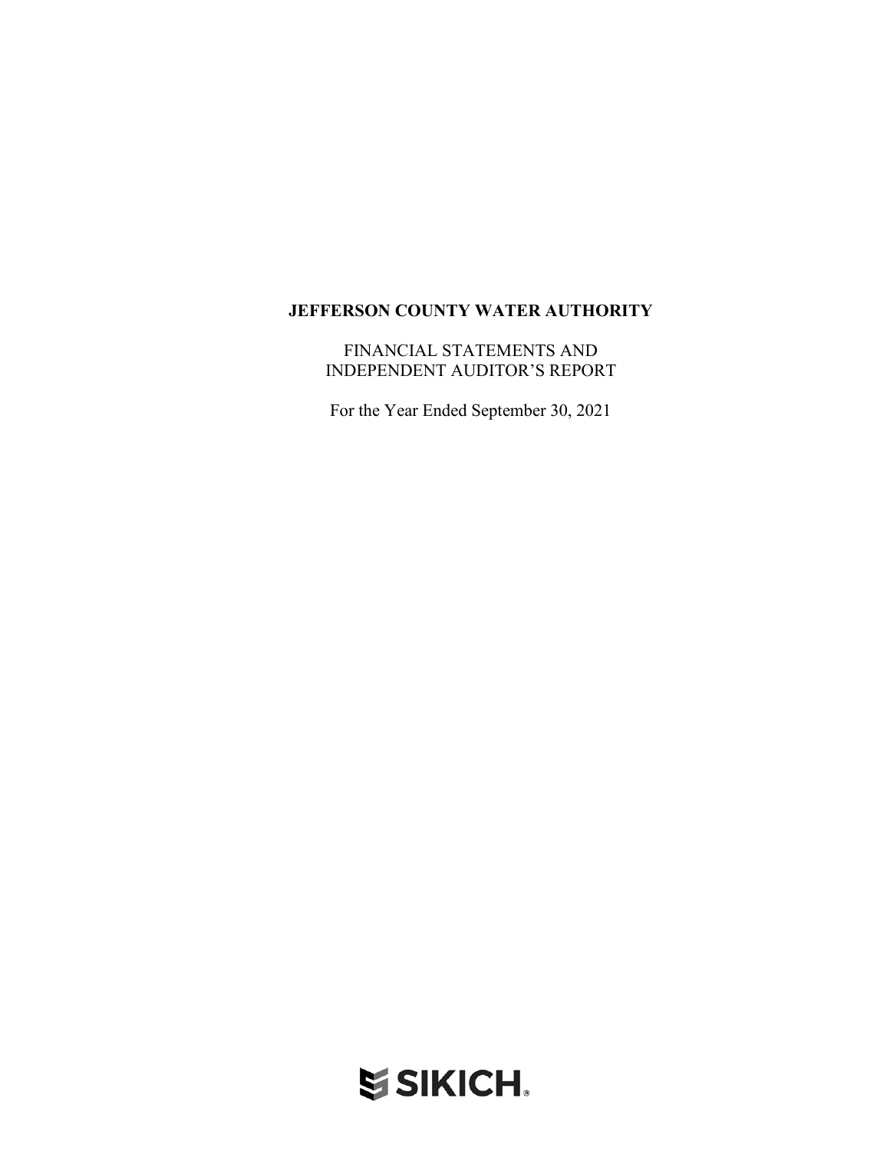## **JEFFERSON COUNTY WATER AUTHORITY**

FINANCIAL STATEMENTS AND INDEPENDENT AUDITOR'S REPORT

For the Year Ended September 30, 2021

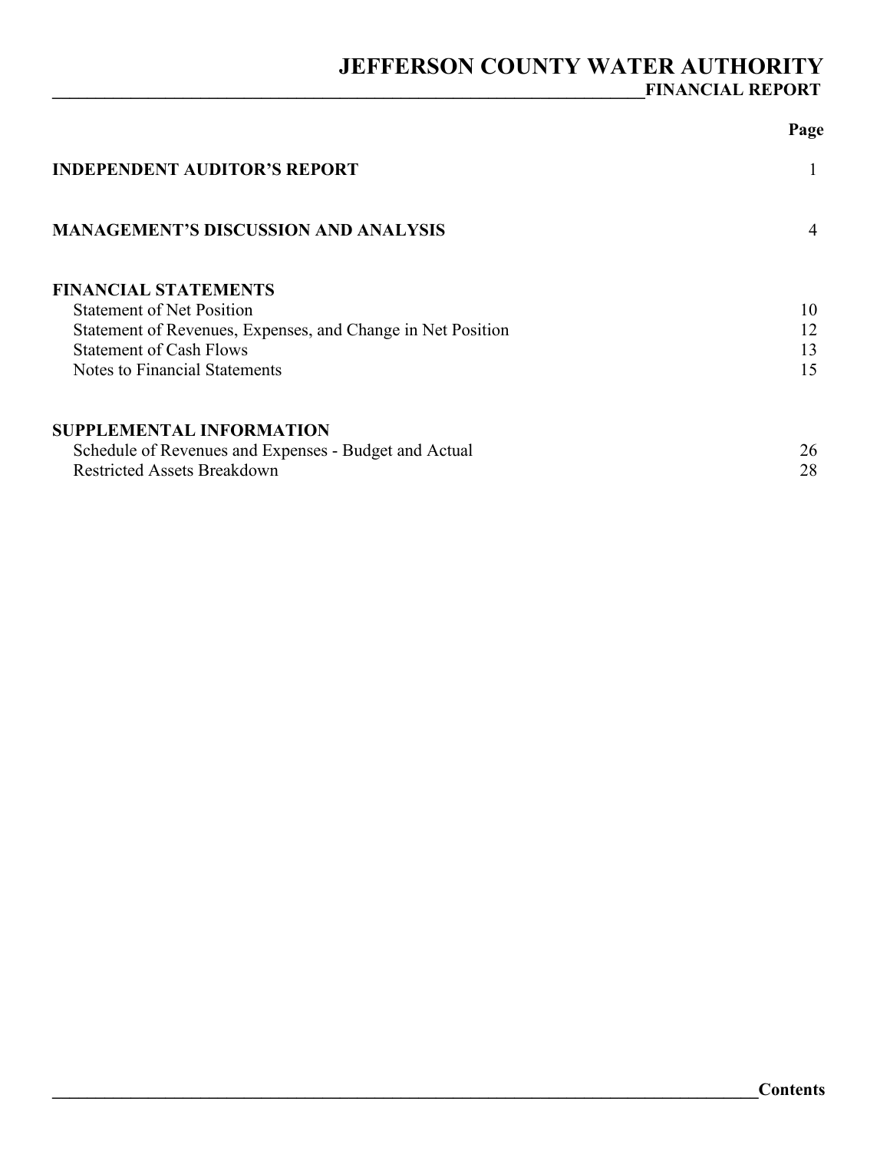|                                                             | Page           |
|-------------------------------------------------------------|----------------|
| <b>INDEPENDENT AUDITOR'S REPORT</b>                         |                |
| <b>MANAGEMENT'S DISCUSSION AND ANALYSIS</b>                 | $\overline{4}$ |
| <b>FINANCIAL STATEMENTS</b>                                 |                |
| <b>Statement of Net Position</b>                            | 10             |
| Statement of Revenues, Expenses, and Change in Net Position | 12             |
| <b>Statement of Cash Flows</b>                              | 13             |
| Notes to Financial Statements                               | 15             |
| <b>SUPPLEMENTAL INFORMATION</b>                             |                |
| Schedule of Revenues and Expenses - Budget and Actual       | 26             |
| <b>Restricted Assets Breakdown</b>                          | 28             |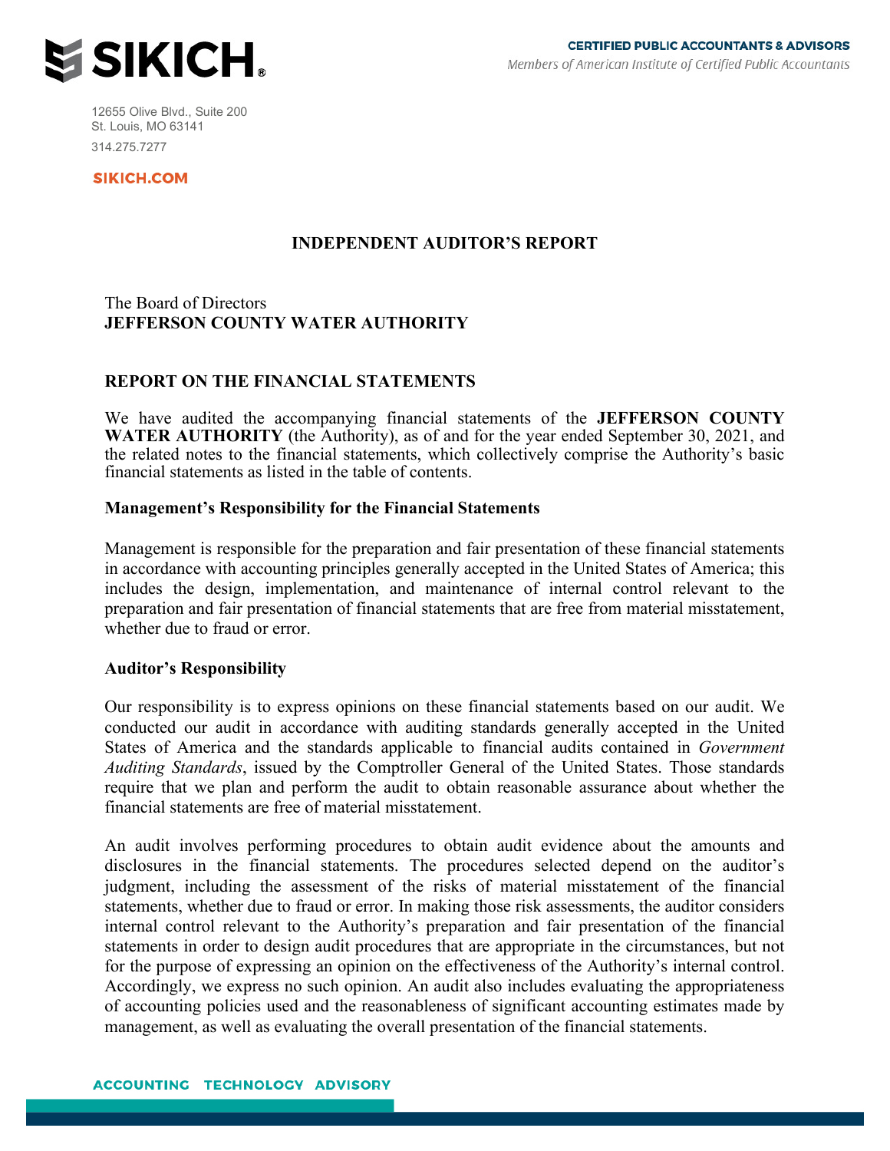

12655 Olive Blvd., Suite 200 St. Louis, MO 63141 314.275.7277

SIKICH.COM

## **INDEPENDENT AUDITOR'S REPORT**

## The Board of Directors **JEFFERSON COUNTY WATER AUTHORITY**

#### **REPORT ON THE FINANCIAL STATEMENTS**

We have audited the accompanying financial statements of the **JEFFERSON COUNTY WATER AUTHORITY** (the Authority), as of and for the year ended September 30, 2021, and the related notes to the financial statements, which collectively comprise the Authority's basic financial statements as listed in the table of contents.

#### **Management's Responsibility for the Financial Statements**

Management is responsible for the preparation and fair presentation of these financial statements in accordance with accounting principles generally accepted in the United States of America; this includes the design, implementation, and maintenance of internal control relevant to the preparation and fair presentation of financial statements that are free from material misstatement, whether due to fraud or error.

#### **Auditor's Responsibility**

Our responsibility is to express opinions on these financial statements based on our audit. We conducted our audit in accordance with auditing standards generally accepted in the United States of America and the standards applicable to financial audits contained in *Government Auditing Standards*, issued by the Comptroller General of the United States. Those standards require that we plan and perform the audit to obtain reasonable assurance about whether the financial statements are free of material misstatement.

An audit involves performing procedures to obtain audit evidence about the amounts and disclosures in the financial statements. The procedures selected depend on the auditor's judgment, including the assessment of the risks of material misstatement of the financial statements, whether due to fraud or error. In making those risk assessments, the auditor considers internal control relevant to the Authority's preparation and fair presentation of the financial statements in order to design audit procedures that are appropriate in the circumstances, but not for the purpose of expressing an opinion on the effectiveness of the Authority's internal control. Accordingly, we express no such opinion. An audit also includes evaluating the appropriateness of accounting policies used and the reasonableness of significant accounting estimates made by management, as well as evaluating the overall presentation of the financial statements.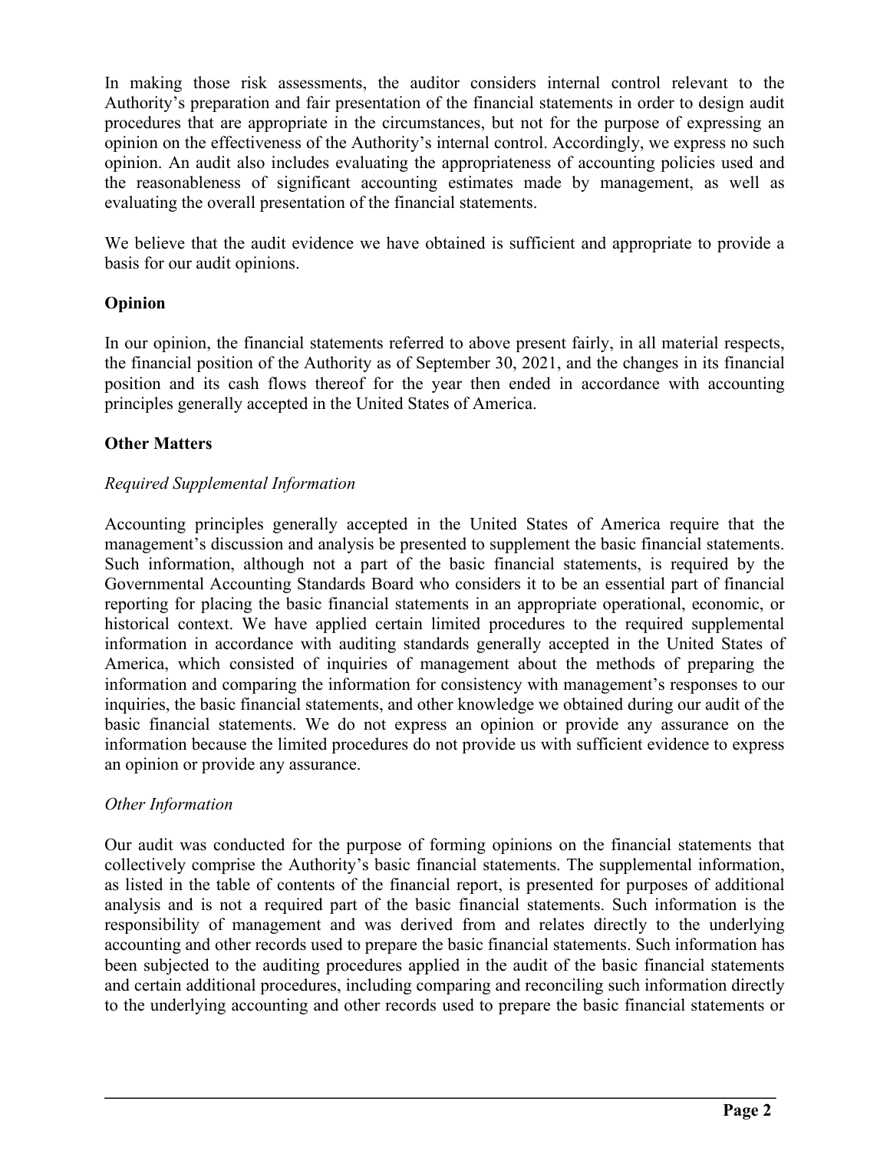In making those risk assessments, the auditor considers internal control relevant to the Authority's preparation and fair presentation of the financial statements in order to design audit procedures that are appropriate in the circumstances, but not for the purpose of expressing an opinion on the effectiveness of the Authority's internal control. Accordingly, we express no such opinion. An audit also includes evaluating the appropriateness of accounting policies used and the reasonableness of significant accounting estimates made by management, as well as evaluating the overall presentation of the financial statements.

We believe that the audit evidence we have obtained is sufficient and appropriate to provide a basis for our audit opinions.

## **Opinion**

In our opinion, the financial statements referred to above present fairly, in all material respects, the financial position of the Authority as of September 30, 2021, and the changes in its financial position and its cash flows thereof for the year then ended in accordance with accounting principles generally accepted in the United States of America.

## **Other Matters**

## *Required Supplemental Information*

Accounting principles generally accepted in the United States of America require that the management's discussion and analysis be presented to supplement the basic financial statements. Such information, although not a part of the basic financial statements, is required by the Governmental Accounting Standards Board who considers it to be an essential part of financial reporting for placing the basic financial statements in an appropriate operational, economic, or historical context. We have applied certain limited procedures to the required supplemental information in accordance with auditing standards generally accepted in the United States of America, which consisted of inquiries of management about the methods of preparing the information and comparing the information for consistency with management's responses to our inquiries, the basic financial statements, and other knowledge we obtained during our audit of the basic financial statements. We do not express an opinion or provide any assurance on the information because the limited procedures do not provide us with sufficient evidence to express an opinion or provide any assurance.

## *Other Information*

Our audit was conducted for the purpose of forming opinions on the financial statements that collectively comprise the Authority's basic financial statements. The supplemental information, as listed in the table of contents of the financial report, is presented for purposes of additional analysis and is not a required part of the basic financial statements. Such information is the responsibility of management and was derived from and relates directly to the underlying accounting and other records used to prepare the basic financial statements. Such information has been subjected to the auditing procedures applied in the audit of the basic financial statements and certain additional procedures, including comparing and reconciling such information directly to the underlying accounting and other records used to prepare the basic financial statements or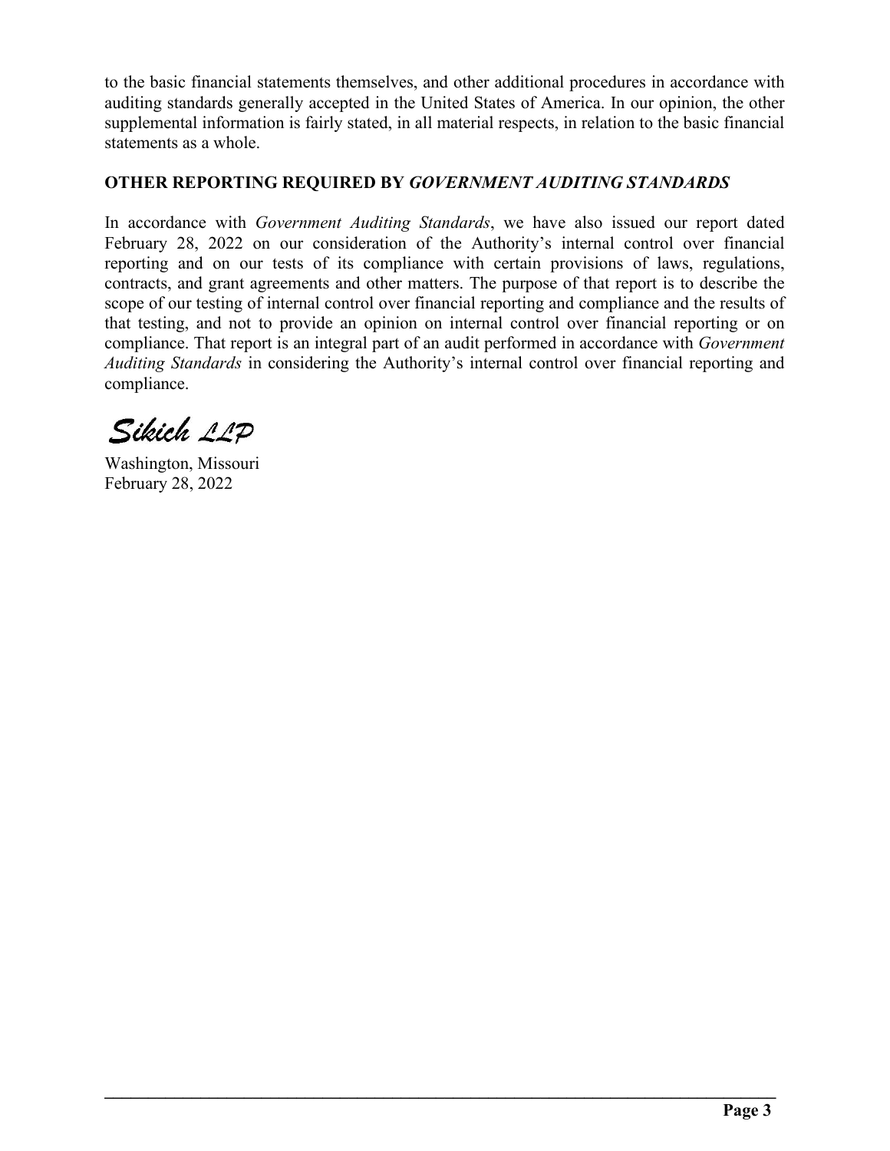to the basic financial statements themselves, and other additional procedures in accordance with auditing standards generally accepted in the United States of America. In our opinion, the other supplemental information is fairly stated, in all material respects, in relation to the basic financial statements as a whole.

## **OTHER REPORTING REQUIRED BY** *GOVERNMENT AUDITING STANDARDS*

In accordance with *Government Auditing Standards*, we have also issued our report dated February 28, 2022 on our consideration of the Authority's internal control over financial reporting and on our tests of its compliance with certain provisions of laws, regulations, contracts, and grant agreements and other matters. The purpose of that report is to describe the scope of our testing of internal control over financial reporting and compliance and the results of that testing, and not to provide an opinion on internal control over financial reporting or on compliance. That report is an integral part of an audit performed in accordance with *Government Auditing Standards* in considering the Authority's internal control over financial reporting and compliance.

Sikich 11P

Washington, Missouri February 28, 2022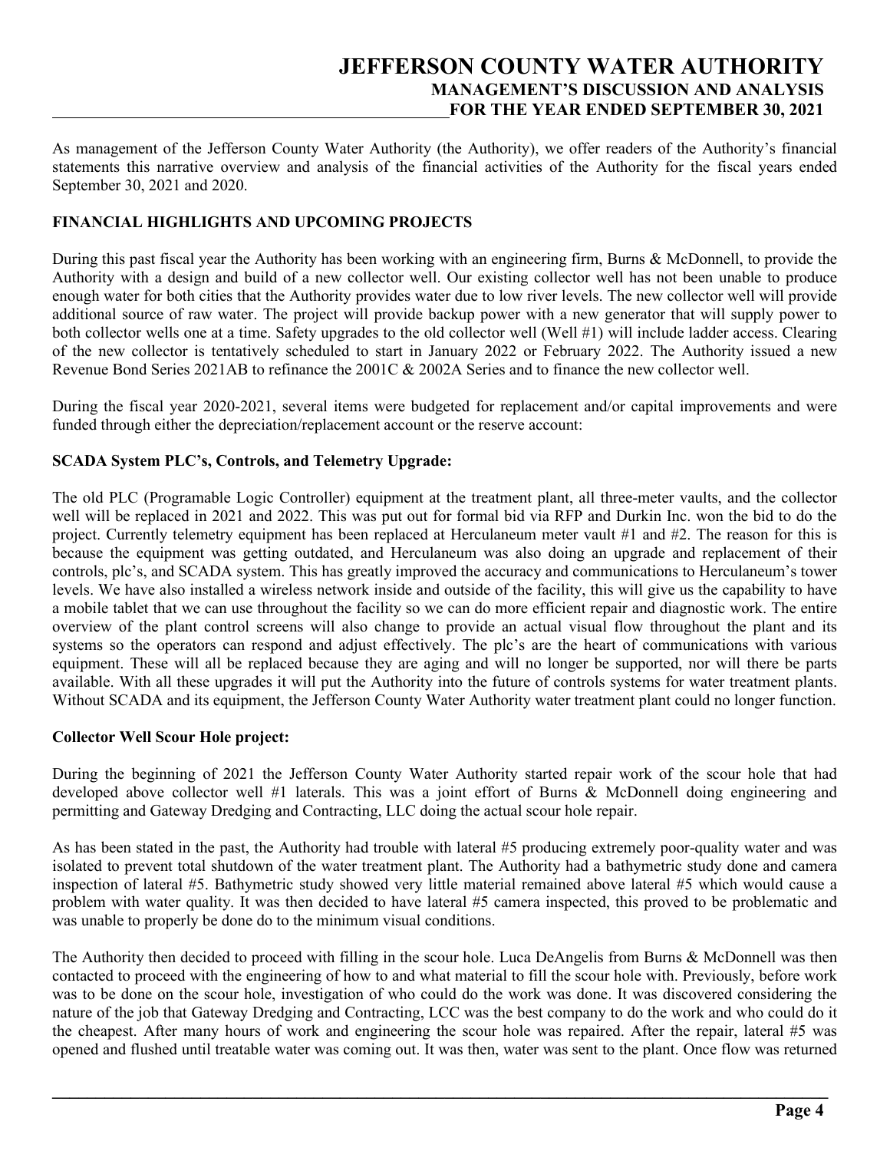As management of the Jefferson County Water Authority (the Authority), we offer readers of the Authority's financial statements this narrative overview and analysis of the financial activities of the Authority for the fiscal years ended September 30, 2021 and 2020.

#### **FINANCIAL HIGHLIGHTS AND UPCOMING PROJECTS**

During this past fiscal year the Authority has been working with an engineering firm, Burns & McDonnell, to provide the Authority with a design and build of a new collector well. Our existing collector well has not been unable to produce enough water for both cities that the Authority provides water due to low river levels. The new collector well will provide additional source of raw water. The project will provide backup power with a new generator that will supply power to both collector wells one at a time. Safety upgrades to the old collector well (Well #1) will include ladder access. Clearing of the new collector is tentatively scheduled to start in January 2022 or February 2022. The Authority issued a new Revenue Bond Series 2021AB to refinance the 2001C & 2002A Series and to finance the new collector well.

During the fiscal year 2020-2021, several items were budgeted for replacement and/or capital improvements and were funded through either the depreciation/replacement account or the reserve account:

#### **SCADA System PLC's, Controls, and Telemetry Upgrade:**

The old PLC (Programable Logic Controller) equipment at the treatment plant, all three-meter vaults, and the collector well will be replaced in 2021 and 2022. This was put out for formal bid via RFP and Durkin Inc. won the bid to do the project. Currently telemetry equipment has been replaced at Herculaneum meter vault #1 and #2. The reason for this is because the equipment was getting outdated, and Herculaneum was also doing an upgrade and replacement of their controls, plc's, and SCADA system. This has greatly improved the accuracy and communications to Herculaneum's tower levels. We have also installed a wireless network inside and outside of the facility, this will give us the capability to have a mobile tablet that we can use throughout the facility so we can do more efficient repair and diagnostic work. The entire overview of the plant control screens will also change to provide an actual visual flow throughout the plant and its systems so the operators can respond and adjust effectively. The plc's are the heart of communications with various equipment. These will all be replaced because they are aging and will no longer be supported, nor will there be parts available. With all these upgrades it will put the Authority into the future of controls systems for water treatment plants. Without SCADA and its equipment, the Jefferson County Water Authority water treatment plant could no longer function.

#### **Collector Well Scour Hole project:**

During the beginning of 2021 the Jefferson County Water Authority started repair work of the scour hole that had developed above collector well #1 laterals. This was a joint effort of Burns & McDonnell doing engineering and permitting and Gateway Dredging and Contracting, LLC doing the actual scour hole repair.

As has been stated in the past, the Authority had trouble with lateral #5 producing extremely poor-quality water and was isolated to prevent total shutdown of the water treatment plant. The Authority had a bathymetric study done and camera inspection of lateral #5. Bathymetric study showed very little material remained above lateral #5 which would cause a problem with water quality. It was then decided to have lateral #5 camera inspected, this proved to be problematic and was unable to properly be done do to the minimum visual conditions.

The Authority then decided to proceed with filling in the scour hole. Luca DeAngelis from Burns & McDonnell was then contacted to proceed with the engineering of how to and what material to fill the scour hole with. Previously, before work was to be done on the scour hole, investigation of who could do the work was done. It was discovered considering the nature of the job that Gateway Dredging and Contracting, LCC was the best company to do the work and who could do it the cheapest. After many hours of work and engineering the scour hole was repaired. After the repair, lateral #5 was opened and flushed until treatable water was coming out. It was then, water was sent to the plant. Once flow was returned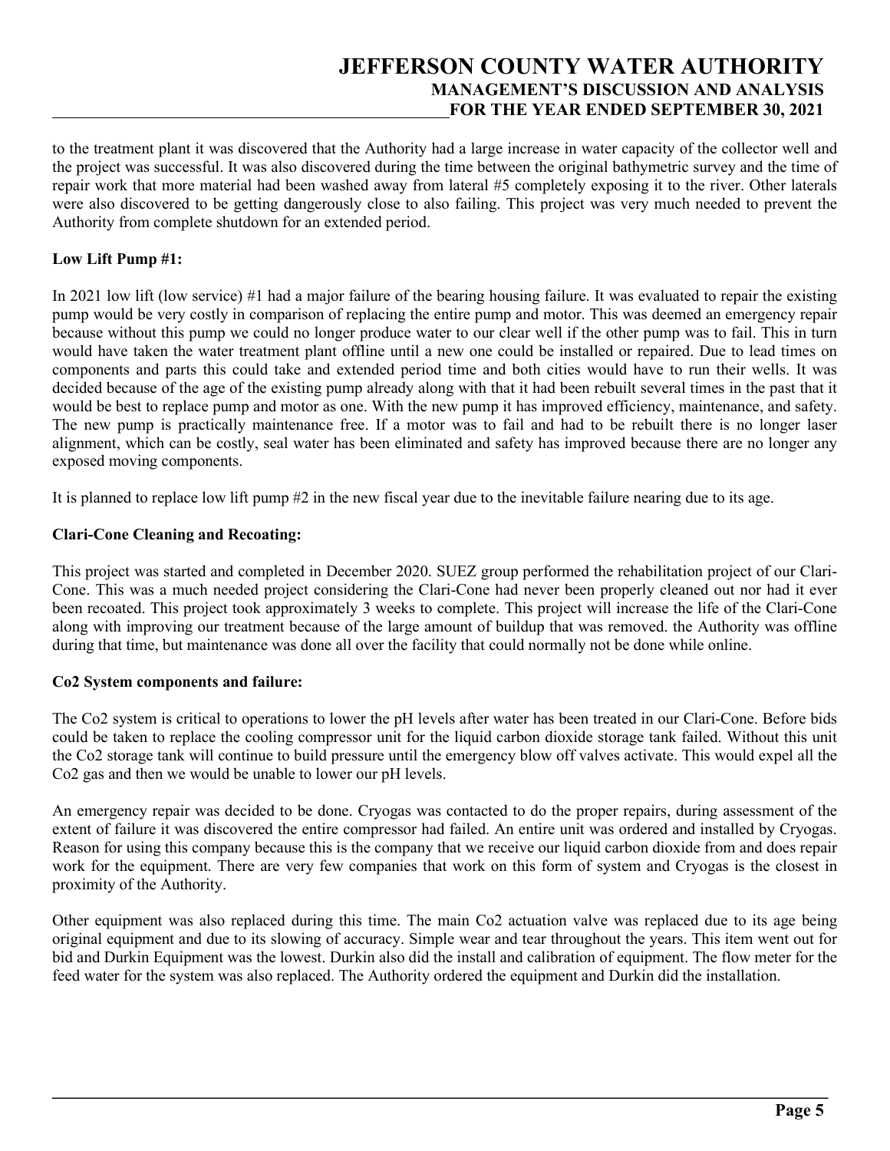## **JEFFERSON COUNTY WATER AUTHORITY MANAGEMENT'S DISCUSSION AND ANALYSIS FOR THE YEAR ENDED SEPTEMBER 30, 2021**

to the treatment plant it was discovered that the Authority had a large increase in water capacity of the collector well and the project was successful. It was also discovered during the time between the original bathymetric survey and the time of repair work that more material had been washed away from lateral #5 completely exposing it to the river. Other laterals were also discovered to be getting dangerously close to also failing. This project was very much needed to prevent the Authority from complete shutdown for an extended period.

#### **Low Lift Pump #1:**

In 2021 low lift (low service) #1 had a major failure of the bearing housing failure. It was evaluated to repair the existing pump would be very costly in comparison of replacing the entire pump and motor. This was deemed an emergency repair because without this pump we could no longer produce water to our clear well if the other pump was to fail. This in turn would have taken the water treatment plant offline until a new one could be installed or repaired. Due to lead times on components and parts this could take and extended period time and both cities would have to run their wells. It was decided because of the age of the existing pump already along with that it had been rebuilt several times in the past that it would be best to replace pump and motor as one. With the new pump it has improved efficiency, maintenance, and safety. The new pump is practically maintenance free. If a motor was to fail and had to be rebuilt there is no longer laser alignment, which can be costly, seal water has been eliminated and safety has improved because there are no longer any exposed moving components.

It is planned to replace low lift pump #2 in the new fiscal year due to the inevitable failure nearing due to its age.

#### **Clari-Cone Cleaning and Recoating:**

This project was started and completed in December 2020. SUEZ group performed the rehabilitation project of our Clari-Cone. This was a much needed project considering the Clari-Cone had never been properly cleaned out nor had it ever been recoated. This project took approximately 3 weeks to complete. This project will increase the life of the Clari-Cone along with improving our treatment because of the large amount of buildup that was removed. the Authority was offline during that time, but maintenance was done all over the facility that could normally not be done while online.

#### **Co2 System components and failure:**

The Co2 system is critical to operations to lower the pH levels after water has been treated in our Clari-Cone. Before bids could be taken to replace the cooling compressor unit for the liquid carbon dioxide storage tank failed. Without this unit the Co2 storage tank will continue to build pressure until the emergency blow off valves activate. This would expel all the Co2 gas and then we would be unable to lower our pH levels.

An emergency repair was decided to be done. Cryogas was contacted to do the proper repairs, during assessment of the extent of failure it was discovered the entire compressor had failed. An entire unit was ordered and installed by Cryogas. Reason for using this company because this is the company that we receive our liquid carbon dioxide from and does repair work for the equipment. There are very few companies that work on this form of system and Cryogas is the closest in proximity of the Authority.

Other equipment was also replaced during this time. The main Co2 actuation valve was replaced due to its age being original equipment and due to its slowing of accuracy. Simple wear and tear throughout the years. This item went out for bid and Durkin Equipment was the lowest. Durkin also did the install and calibration of equipment. The flow meter for the feed water for the system was also replaced. The Authority ordered the equipment and Durkin did the installation.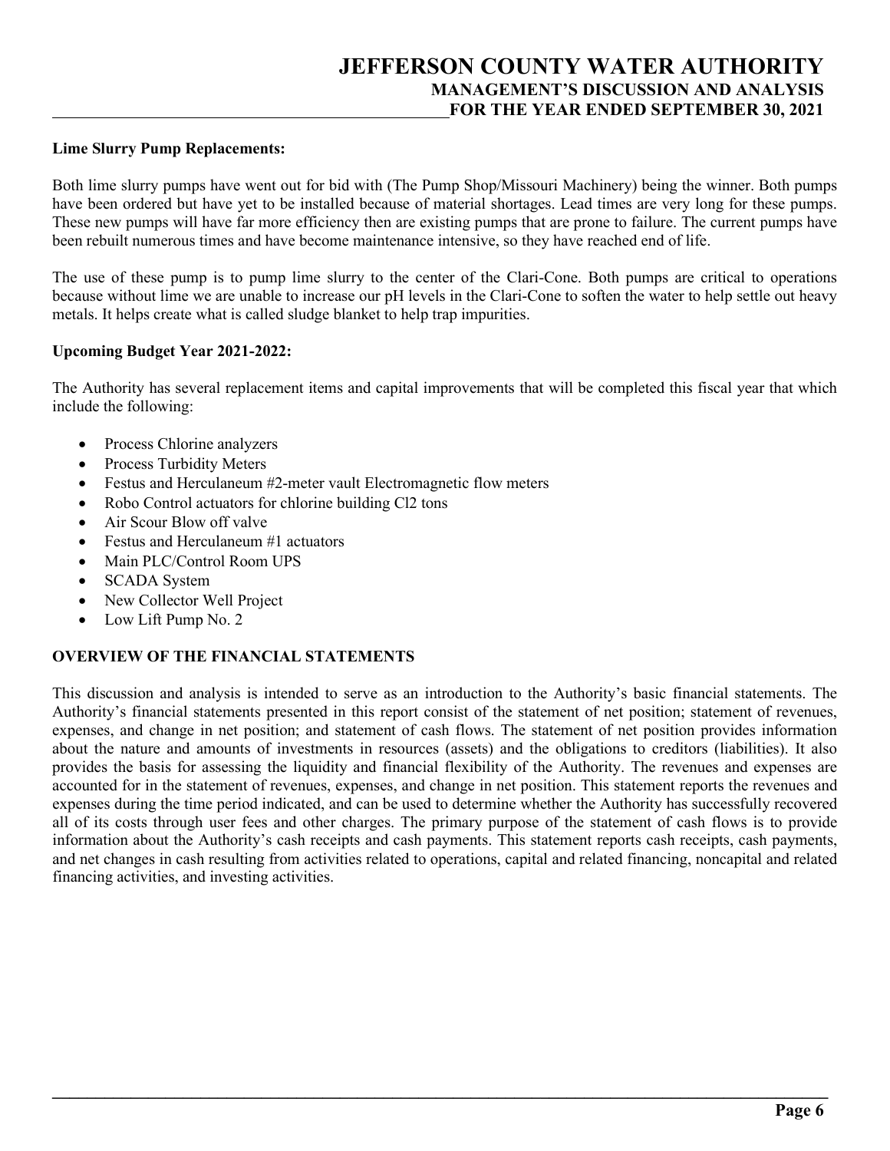#### **Lime Slurry Pump Replacements:**

Both lime slurry pumps have went out for bid with (The Pump Shop/Missouri Machinery) being the winner. Both pumps have been ordered but have yet to be installed because of material shortages. Lead times are very long for these pumps. These new pumps will have far more efficiency then are existing pumps that are prone to failure. The current pumps have been rebuilt numerous times and have become maintenance intensive, so they have reached end of life.

The use of these pump is to pump lime slurry to the center of the Clari-Cone. Both pumps are critical to operations because without lime we are unable to increase our pH levels in the Clari-Cone to soften the water to help settle out heavy metals. It helps create what is called sludge blanket to help trap impurities.

#### **Upcoming Budget Year 2021-2022:**

The Authority has several replacement items and capital improvements that will be completed this fiscal year that which include the following:

- Process Chlorine analyzers
- Process Turbidity Meters
- Festus and Herculaneum #2-meter vault Electromagnetic flow meters
- Robo Control actuators for chlorine building Cl2 tons
- Air Scour Blow off valve
- Festus and Herculaneum #1 actuators
- Main PLC/Control Room UPS
- SCADA System
- New Collector Well Project
- Low Lift Pump No. 2

#### **OVERVIEW OF THE FINANCIAL STATEMENTS**

This discussion and analysis is intended to serve as an introduction to the Authority's basic financial statements. The Authority's financial statements presented in this report consist of the statement of net position; statement of revenues, expenses, and change in net position; and statement of cash flows. The statement of net position provides information about the nature and amounts of investments in resources (assets) and the obligations to creditors (liabilities). It also provides the basis for assessing the liquidity and financial flexibility of the Authority. The revenues and expenses are accounted for in the statement of revenues, expenses, and change in net position. This statement reports the revenues and expenses during the time period indicated, and can be used to determine whether the Authority has successfully recovered all of its costs through user fees and other charges. The primary purpose of the statement of cash flows is to provide information about the Authority's cash receipts and cash payments. This statement reports cash receipts, cash payments, and net changes in cash resulting from activities related to operations, capital and related financing, noncapital and related financing activities, and investing activities.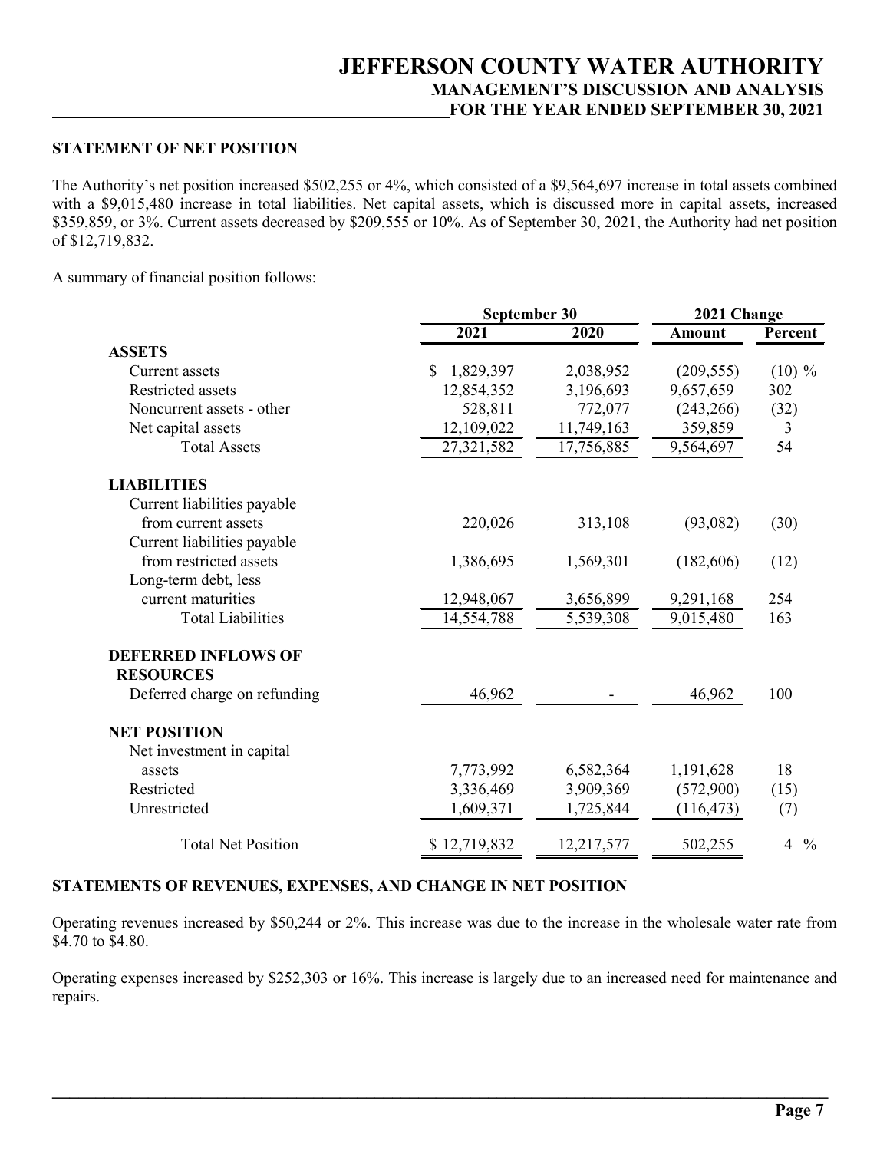#### **STATEMENT OF NET POSITION**

The Authority's net position increased \$502,255 or 4%, which consisted of a \$9,564,697 increase in total assets combined with a \$9,015,480 increase in total liabilities. Net capital assets, which is discussed more in capital assets, increased \$359,859, or 3%. Current assets decreased by \$209,555 or 10%. As of September 30, 2021, the Authority had net position of \$12,719,832.

A summary of financial position follows:

|                              | September 30    |            | 2021 Change   |                    |
|------------------------------|-----------------|------------|---------------|--------------------|
|                              | 2021            | 2020       | <b>Amount</b> | Percent            |
| <b>ASSETS</b>                |                 |            |               |                    |
| Current assets               | S.<br>1,829,397 | 2,038,952  | (209, 555)    | $(10) \%$          |
| Restricted assets            | 12,854,352      | 3,196,693  | 9,657,659     | 302                |
| Noncurrent assets - other    | 528,811         | 772,077    | (243, 266)    | (32)               |
| Net capital assets           | 12,109,022      | 11,749,163 | 359,859       | 3                  |
| <b>Total Assets</b>          | 27,321,582      | 17,756,885 | 9,564,697     | 54                 |
| <b>LIABILITIES</b>           |                 |            |               |                    |
| Current liabilities payable  |                 |            |               |                    |
| from current assets          | 220,026         | 313,108    | (93,082)      | (30)               |
| Current liabilities payable  |                 |            |               |                    |
| from restricted assets       | 1,386,695       | 1,569,301  | (182, 606)    | (12)               |
| Long-term debt, less         |                 |            |               |                    |
| current maturities           | 12,948,067      | 3,656,899  | 9,291,168     | 254                |
| <b>Total Liabilities</b>     | 14,554,788      | 5,539,308  | 9,015,480     | 163                |
| <b>DEFERRED INFLOWS OF</b>   |                 |            |               |                    |
| <b>RESOURCES</b>             |                 |            |               |                    |
| Deferred charge on refunding | 46,962          |            | 46,962        | 100                |
| <b>NET POSITION</b>          |                 |            |               |                    |
| Net investment in capital    |                 |            |               |                    |
| assets                       | 7,773,992       | 6,582,364  | 1,191,628     | 18                 |
| Restricted                   | 3,336,469       | 3,909,369  | (572,900)     | (15)               |
| Unrestricted                 | 1,609,371       | 1,725,844  | (116, 473)    | (7)                |
| <b>Total Net Position</b>    | \$12,719,832    | 12,217,577 | 502,255       | $\frac{0}{0}$<br>4 |

#### **STATEMENTS OF REVENUES, EXPENSES, AND CHANGE IN NET POSITION**

Operating revenues increased by \$50,244 or 2%. This increase was due to the increase in the wholesale water rate from \$4.70 to \$4.80.

Operating expenses increased by \$252,303 or 16%. This increase is largely due to an increased need for maintenance and repairs.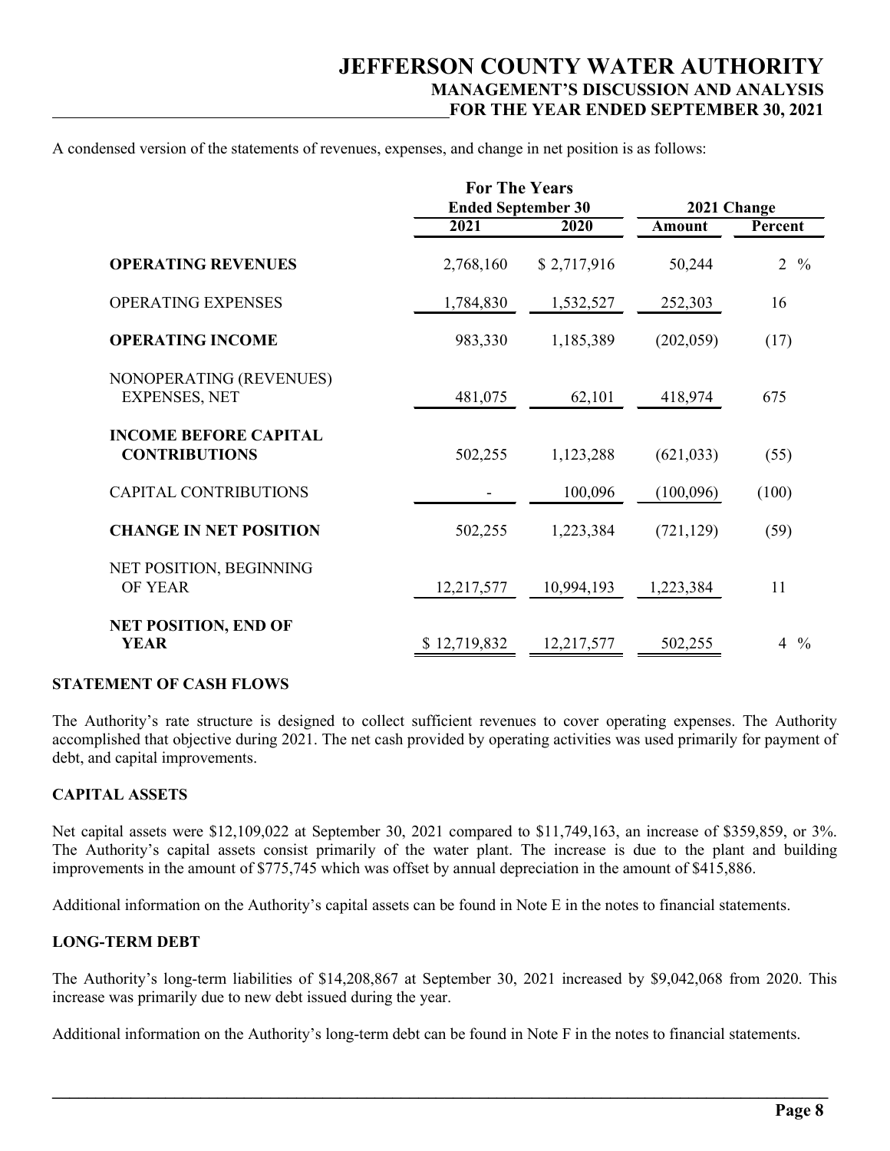A condensed version of the statements of revenues, expenses, and change in net position is as follows:

|                                                      | <b>For The Years</b> |                           |               |                                 |  |
|------------------------------------------------------|----------------------|---------------------------|---------------|---------------------------------|--|
|                                                      |                      | <b>Ended September 30</b> |               | 2021 Change                     |  |
|                                                      | 2021                 | 2020                      | <b>Amount</b> | Percent                         |  |
| <b>OPERATING REVENUES</b>                            | 2,768,160            | \$2,717,916               | 50,244        | $2 \frac{9}{6}$                 |  |
| <b>OPERATING EXPENSES</b>                            | 1,784,830            | 1,532,527                 | 252,303       | 16                              |  |
| <b>OPERATING INCOME</b>                              | 983,330              | 1,185,389                 | (202, 059)    | (17)                            |  |
| NONOPERATING (REVENUES)<br><b>EXPENSES, NET</b>      | 481,075              | 62,101                    | 418,974       | 675                             |  |
| <b>INCOME BEFORE CAPITAL</b><br><b>CONTRIBUTIONS</b> | 502,255              | 1,123,288                 | (621, 033)    | (55)                            |  |
| <b>CAPITAL CONTRIBUTIONS</b>                         |                      | 100,096                   | (100,096)     | (100)                           |  |
| <b>CHANGE IN NET POSITION</b>                        | 502,255              | 1,223,384                 | (721, 129)    | (59)                            |  |
| NET POSITION, BEGINNING<br>OF YEAR                   | 12,217,577           | 10,994,193                | 1,223,384     | 11                              |  |
| <b>NET POSITION, END OF</b><br>YEAR                  | \$12,719,832         | 12,217,577                | 502,255       | $\frac{0}{0}$<br>$\overline{4}$ |  |

#### **STATEMENT OF CASH FLOWS**

The Authority's rate structure is designed to collect sufficient revenues to cover operating expenses. The Authority accomplished that objective during 2021. The net cash provided by operating activities was used primarily for payment of debt, and capital improvements.

#### **CAPITAL ASSETS**

Net capital assets were \$12,109,022 at September 30, 2021 compared to \$11,749,163, an increase of \$359,859, or 3%. The Authority's capital assets consist primarily of the water plant. The increase is due to the plant and building improvements in the amount of \$775,745 which was offset by annual depreciation in the amount of \$415,886.

Additional information on the Authority's capital assets can be found in Note E in the notes to financial statements.

#### **LONG-TERM DEBT**

The Authority's long-term liabilities of \$14,208,867 at September 30, 2021 increased by \$9,042,068 from 2020. This increase was primarily due to new debt issued during the year.

Additional information on the Authority's long-term debt can be found in Note F in the notes to financial statements.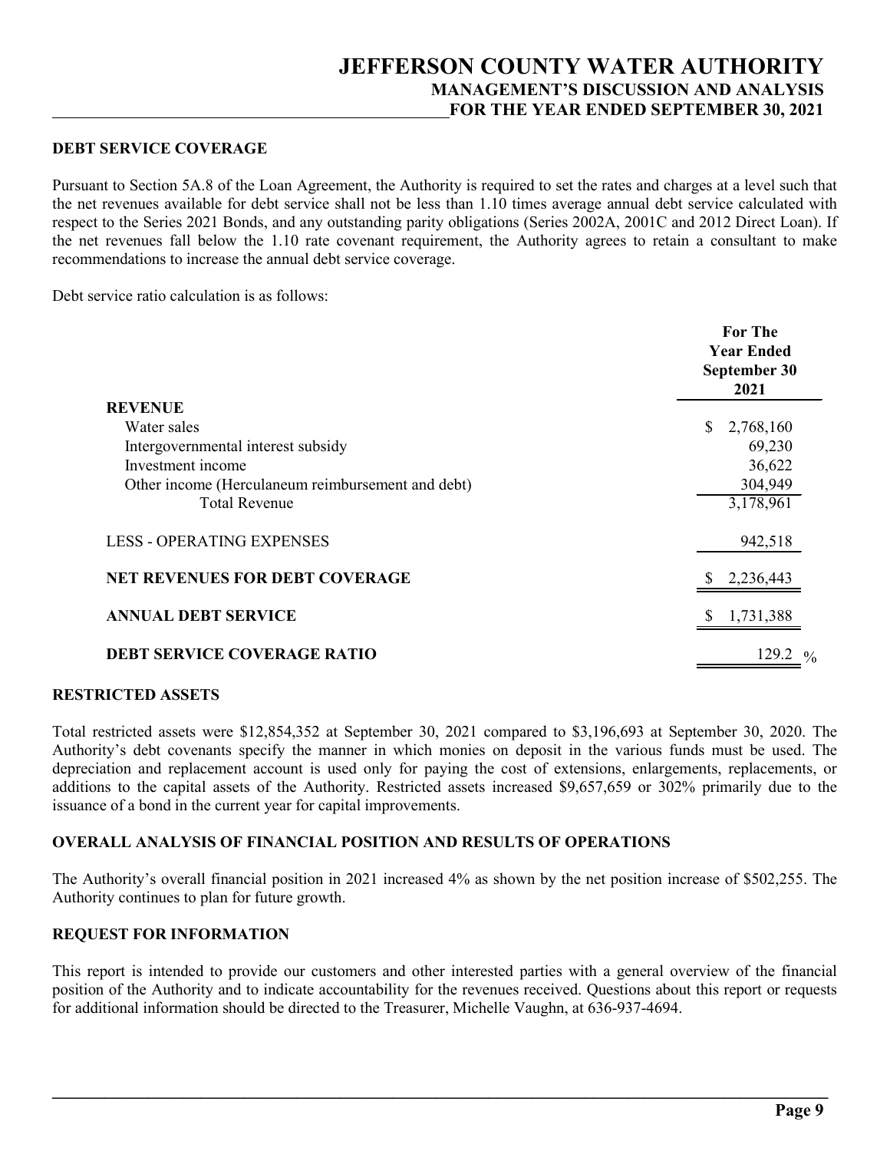## **JEFFERSON COUNTY WATER AUTHORITY MANAGEMENT'S DISCUSSION AND ANALYSIS FOR THE YEAR ENDED SEPTEMBER 30, 2021**

#### **DEBT SERVICE COVERAGE**

Pursuant to Section 5A.8 of the Loan Agreement, the Authority is required to set the rates and charges at a level such that the net revenues available for debt service shall not be less than 1.10 times average annual debt service calculated with respect to the Series 2021 Bonds, and any outstanding parity obligations (Series 2002A, 2001C and 2012 Direct Loan). If the net revenues fall below the 1.10 rate covenant requirement, the Authority agrees to retain a consultant to make recommendations to increase the annual debt service coverage.

Debt service ratio calculation is as follows:

|                                                   | <b>For The</b><br><b>Year Ended</b><br>September 30<br>2021 |
|---------------------------------------------------|-------------------------------------------------------------|
| <b>REVENUE</b>                                    |                                                             |
| Water sales                                       | \$<br>2,768,160                                             |
| Intergovernmental interest subsidy                | 69,230                                                      |
| Investment income                                 | 36,622                                                      |
| Other income (Herculaneum reimbursement and debt) | 304,949                                                     |
| <b>Total Revenue</b>                              | 3,178,961                                                   |
| <b>LESS - OPERATING EXPENSES</b>                  | 942,518                                                     |
| <b>NET REVENUES FOR DEBT COVERAGE</b>             | 2,236,443                                                   |
| <b>ANNUAL DEBT SERVICE</b>                        | 1,731,388                                                   |
| <b>DEBT SERVICE COVERAGE RATIO</b>                | 129.2<br>$\frac{0}{0}$                                      |

#### **RESTRICTED ASSETS**

Total restricted assets were \$12,854,352 at September 30, 2021 compared to \$3,196,693 at September 30, 2020. The Authority's debt covenants specify the manner in which monies on deposit in the various funds must be used. The depreciation and replacement account is used only for paying the cost of extensions, enlargements, replacements, or additions to the capital assets of the Authority. Restricted assets increased \$9,657,659 or 302% primarily due to the issuance of a bond in the current year for capital improvements.

#### **OVERALL ANALYSIS OF FINANCIAL POSITION AND RESULTS OF OPERATIONS**

The Authority's overall financial position in 2021 increased 4% as shown by the net position increase of \$502,255. The Authority continues to plan for future growth.

#### **REQUEST FOR INFORMATION**

This report is intended to provide our customers and other interested parties with a general overview of the financial position of the Authority and to indicate accountability for the revenues received. Questions about this report or requests for additional information should be directed to the Treasurer, Michelle Vaughn, at 636-937-4694.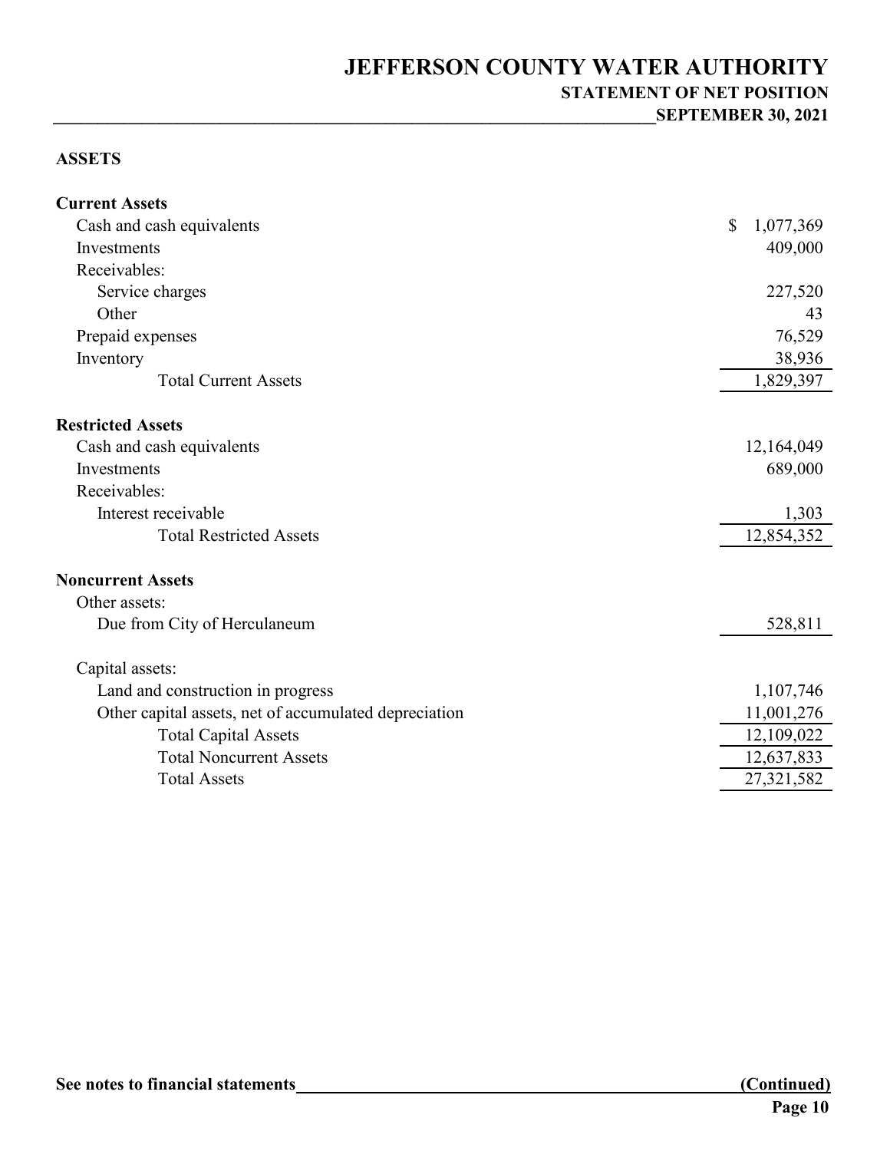**JEFFERSON COUNTY WATER AUTHORITY STATEMENT OF NET POSITION**

**\_\_\_\_\_\_\_\_\_\_\_\_\_\_\_\_\_\_\_\_\_\_\_\_\_\_\_\_\_\_\_\_\_\_\_\_\_\_\_\_\_\_\_\_\_\_\_\_\_\_\_\_\_\_\_\_\_\_\_\_\_\_\_\_\_\_\_\_\_\_SEPTEMBER 30, 2021**

## **ASSETS**

| <b>Current Assets</b>                                 |                 |
|-------------------------------------------------------|-----------------|
| Cash and cash equivalents                             | \$<br>1,077,369 |
| Investments                                           | 409,000         |
| Receivables:                                          |                 |
| Service charges                                       | 227,520         |
| Other                                                 | 43              |
| Prepaid expenses                                      | 76,529          |
| Inventory                                             | 38,936          |
| <b>Total Current Assets</b>                           | 1,829,397       |
| <b>Restricted Assets</b>                              |                 |
| Cash and cash equivalents                             | 12,164,049      |
| Investments                                           | 689,000         |
| Receivables:                                          |                 |
| Interest receivable                                   | 1,303           |
| <b>Total Restricted Assets</b>                        | 12,854,352      |
| <b>Noncurrent Assets</b>                              |                 |
| Other assets:                                         |                 |
| Due from City of Herculaneum                          | 528,811         |
| Capital assets:                                       |                 |
| Land and construction in progress                     | 1,107,746       |
| Other capital assets, net of accumulated depreciation | 11,001,276      |
| <b>Total Capital Assets</b>                           | 12,109,022      |
| <b>Total Noncurrent Assets</b>                        | 12,637,833      |
| <b>Total Assets</b>                                   | 27,321,582      |
|                                                       |                 |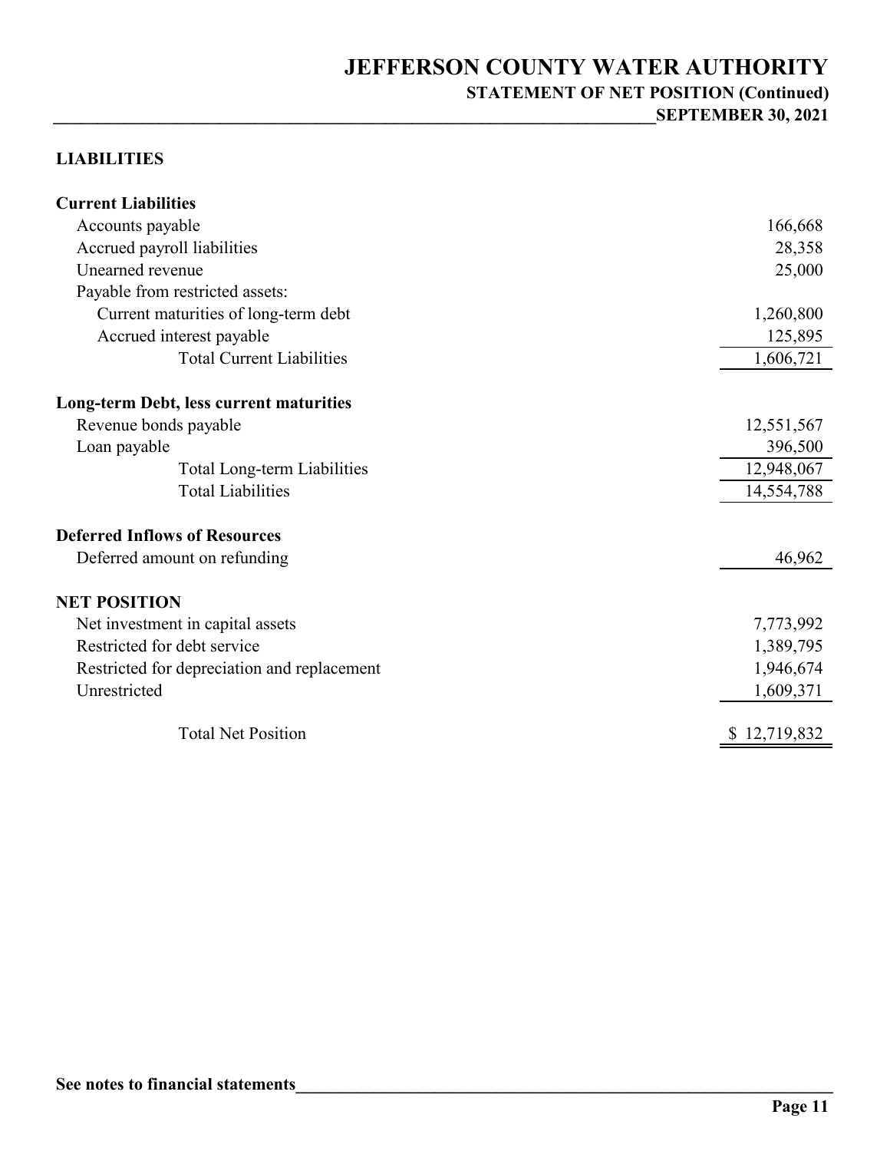## **LIABILITIES**

| <b>Current Liabilities</b>                     |              |
|------------------------------------------------|--------------|
| Accounts payable                               | 166,668      |
| Accrued payroll liabilities                    | 28,358       |
| Unearned revenue                               | 25,000       |
| Payable from restricted assets:                |              |
| Current maturities of long-term debt           | 1,260,800    |
| Accrued interest payable                       | 125,895      |
| <b>Total Current Liabilities</b>               | 1,606,721    |
|                                                |              |
| <b>Long-term Debt, less current maturities</b> |              |
| Revenue bonds payable                          | 12,551,567   |
| Loan payable                                   | 396,500      |
| Total Long-term Liabilities                    | 12,948,067   |
| <b>Total Liabilities</b>                       | 14,554,788   |
| <b>Deferred Inflows of Resources</b>           |              |
| Deferred amount on refunding                   | 46,962       |
| <b>NET POSITION</b>                            |              |
| Net investment in capital assets               | 7,773,992    |
| Restricted for debt service                    | 1,389,795    |
|                                                | 1,946,674    |
| Restricted for depreciation and replacement    |              |
| Unrestricted                                   | 1,609,371    |
| <b>Total Net Position</b>                      | \$12,719,832 |
|                                                |              |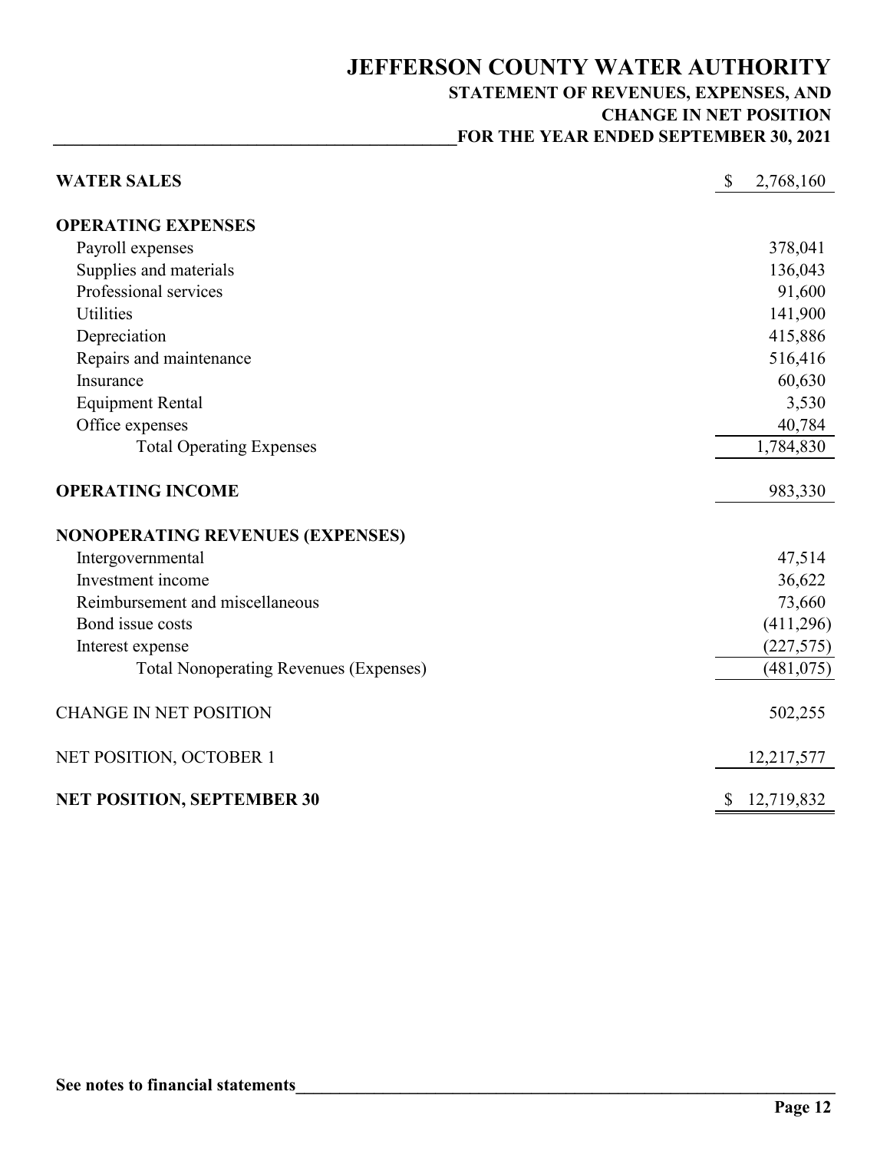# **JEFFERSON COUNTY WATER AUTHORITY STATEMENT OF REVENUES, EXPENSES, AND CHANGE IN NET POSITION** FOR THE YEAR ENDED SEPTEMBER 30, 2021

| <b>WATER SALES</b>                            | 2,768,160<br>$\mathcal{S}$ |
|-----------------------------------------------|----------------------------|
| <b>OPERATING EXPENSES</b>                     |                            |
| Payroll expenses                              | 378,041                    |
| Supplies and materials                        | 136,043                    |
| Professional services                         | 91,600                     |
| <b>Utilities</b>                              | 141,900                    |
| Depreciation                                  | 415,886                    |
| Repairs and maintenance                       | 516,416                    |
| Insurance                                     | 60,630                     |
| <b>Equipment Rental</b>                       | 3,530                      |
| Office expenses                               | 40,784                     |
| <b>Total Operating Expenses</b>               | 1,784,830                  |
| <b>OPERATING INCOME</b>                       | 983,330                    |
| <b>NONOPERATING REVENUES (EXPENSES)</b>       |                            |
| Intergovernmental                             | 47,514                     |
| Investment income                             | 36,622                     |
| Reimbursement and miscellaneous               | 73,660                     |
| Bond issue costs                              | (411,296)                  |
| Interest expense                              | (227, 575)                 |
| <b>Total Nonoperating Revenues (Expenses)</b> | (481, 075)                 |
| <b>CHANGE IN NET POSITION</b>                 | 502,255                    |
| NET POSITION, OCTOBER 1                       | 12,217,577                 |
| <b>NET POSITION, SEPTEMBER 30</b>             | 12,719,832<br>\$           |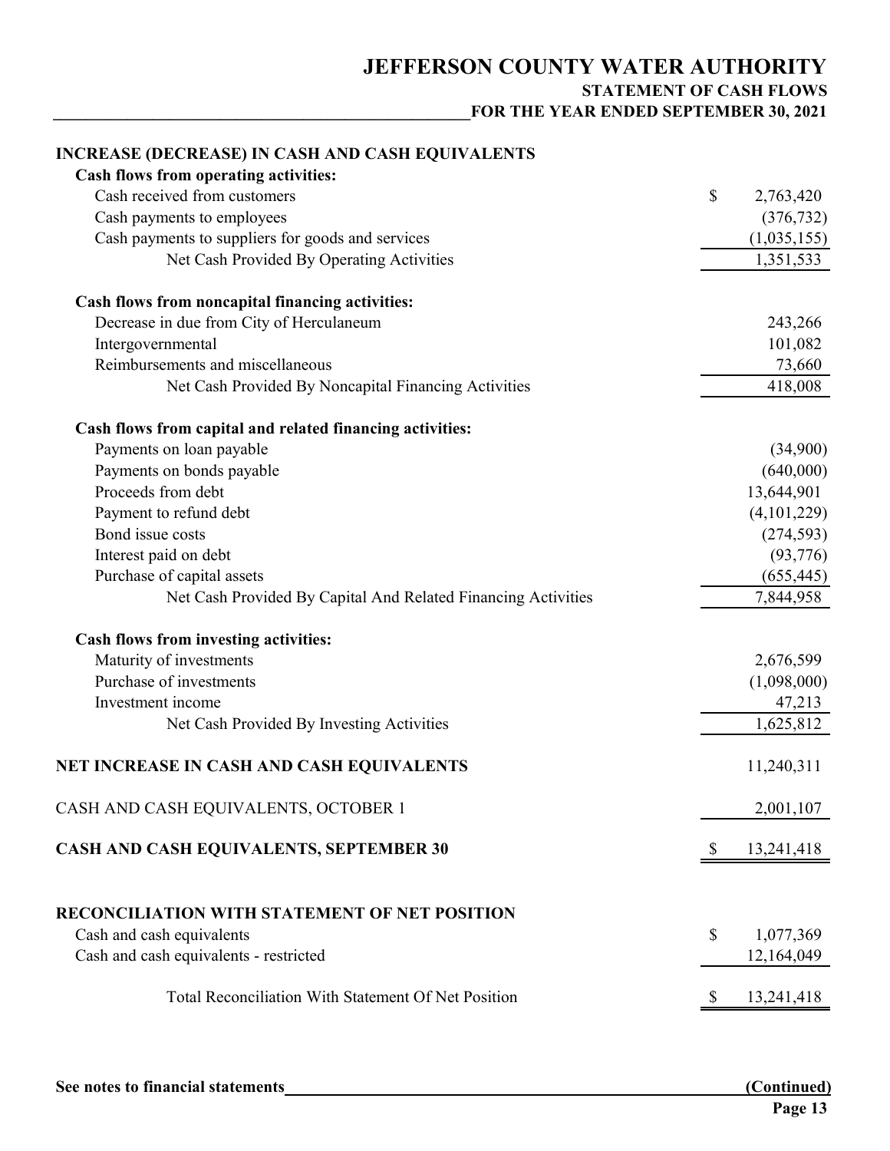# **JEFFERSON COUNTY WATER AUTHORITY STATEMENT OF CASH FLOWS** FOR THE YEAR ENDED SEPTEMBER 30, 2021

| <b>INCREASE (DECREASE) IN CASH AND CASH EQUIVALENTS</b>       |                           |             |
|---------------------------------------------------------------|---------------------------|-------------|
| Cash flows from operating activities:                         |                           |             |
| Cash received from customers                                  | \$                        | 2,763,420   |
| Cash payments to employees                                    |                           | (376, 732)  |
| Cash payments to suppliers for goods and services             |                           | (1,035,155) |
| Net Cash Provided By Operating Activities                     |                           | 1,351,533   |
| Cash flows from noncapital financing activities:              |                           |             |
| Decrease in due from City of Herculaneum                      |                           | 243,266     |
| Intergovernmental                                             |                           | 101,082     |
| Reimbursements and miscellaneous                              |                           | 73,660      |
| Net Cash Provided By Noncapital Financing Activities          |                           | 418,008     |
| Cash flows from capital and related financing activities:     |                           |             |
| Payments on loan payable                                      |                           | (34,900)    |
| Payments on bonds payable                                     |                           | (640,000)   |
| Proceeds from debt                                            |                           | 13,644,901  |
| Payment to refund debt                                        |                           | (4,101,229) |
| Bond issue costs                                              |                           | (274, 593)  |
| Interest paid on debt                                         |                           | (93, 776)   |
| Purchase of capital assets                                    |                           | (655, 445)  |
| Net Cash Provided By Capital And Related Financing Activities |                           | 7,844,958   |
| Cash flows from investing activities:                         |                           |             |
| Maturity of investments                                       |                           | 2,676,599   |
| Purchase of investments                                       |                           | (1,098,000) |
| Investment income                                             |                           | 47,213      |
| Net Cash Provided By Investing Activities                     |                           | 1,625,812   |
| NET INCREASE IN CASH AND CASH EQUIVALENTS                     |                           | 11,240,311  |
| CASH AND CASH EQUIVALENTS, OCTOBER 1                          |                           | 2,001,107   |
| <b>CASH AND CASH EQUIVALENTS, SEPTEMBER 30</b>                | $\boldsymbol{\mathsf{S}}$ | 13,241,418  |
|                                                               |                           |             |
| <b>RECONCILIATION WITH STATEMENT OF NET POSITION</b>          |                           |             |
| Cash and cash equivalents                                     | $\mathbb{S}$              | 1,077,369   |
| Cash and cash equivalents - restricted                        |                           | 12,164,049  |
| Total Reconciliation With Statement Of Net Position           | <sup>2</sup>              | 13,241,418  |

| See notes to financial statements | (Continued) |
|-----------------------------------|-------------|
|                                   | Page 13     |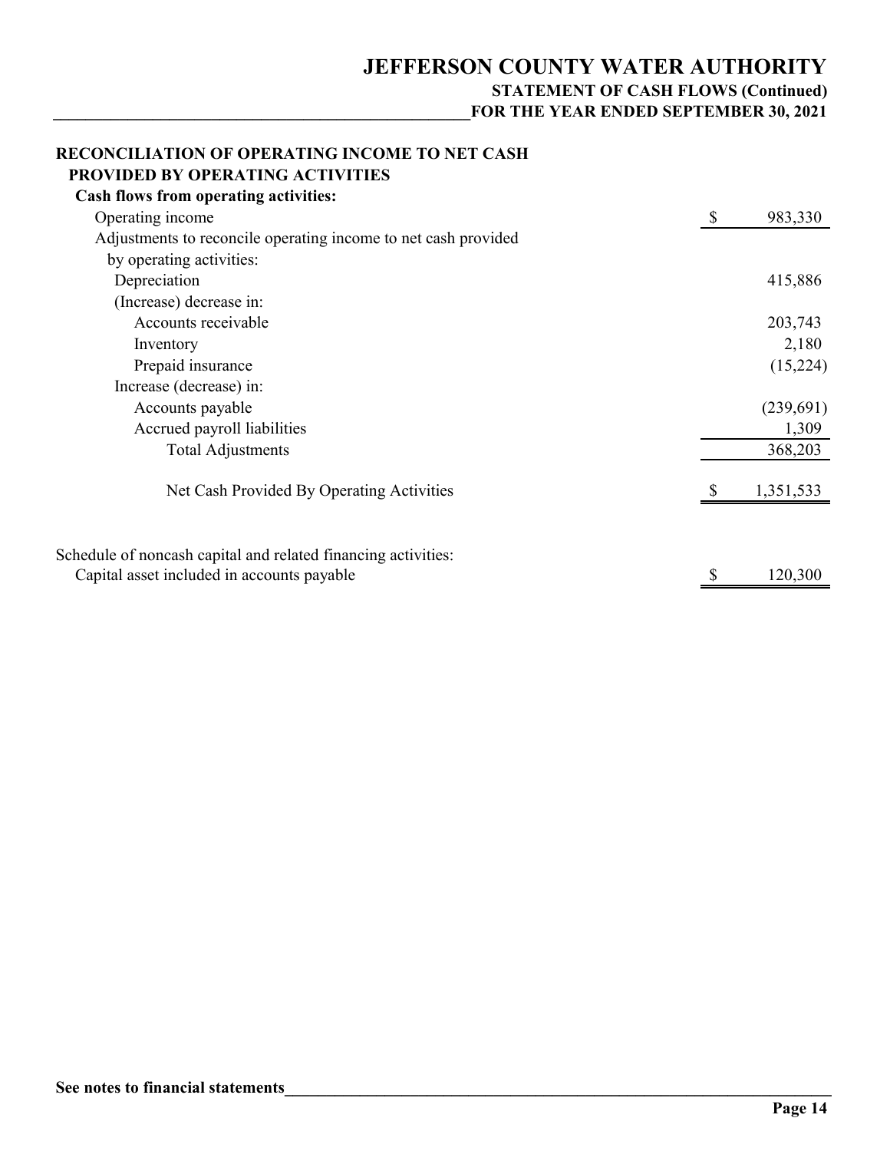# **JEFFERSON COUNTY WATER AUTHORITY STATEMENT OF CASH FLOWS (Continued) \_\_\_\_\_\_\_\_\_\_\_\_\_\_\_\_\_\_\_\_\_\_\_\_\_\_\_\_\_\_\_\_\_\_\_\_\_\_\_\_\_\_\_\_\_\_\_\_\_\_FOR THE YEAR ENDED SEPTEMBER 30, 2021**

| RECONCILIATION OF OPERATING INCOME TO NET CASH<br>PROVIDED BY OPERATING ACTIVITIES |               |
|------------------------------------------------------------------------------------|---------------|
| <b>Cash flows from operating activities:</b>                                       |               |
| Operating income                                                                   | \$<br>983,330 |
| Adjustments to reconcile operating income to net cash provided                     |               |
| by operating activities:                                                           |               |
| Depreciation                                                                       | 415,886       |
| (Increase) decrease in:                                                            |               |
| Accounts receivable                                                                | 203,743       |
| Inventory                                                                          | 2,180         |
| Prepaid insurance                                                                  | (15,224)      |
| Increase (decrease) in:                                                            |               |
| Accounts payable                                                                   | (239,691)     |
| Accrued payroll liabilities                                                        | 1,309         |
| <b>Total Adjustments</b>                                                           | 368,203       |
| Net Cash Provided By Operating Activities                                          | 1,351,533     |
|                                                                                    |               |
| Schedule of noncash capital and related financing activities:                      |               |
| Capital asset included in accounts payable                                         | 120,300       |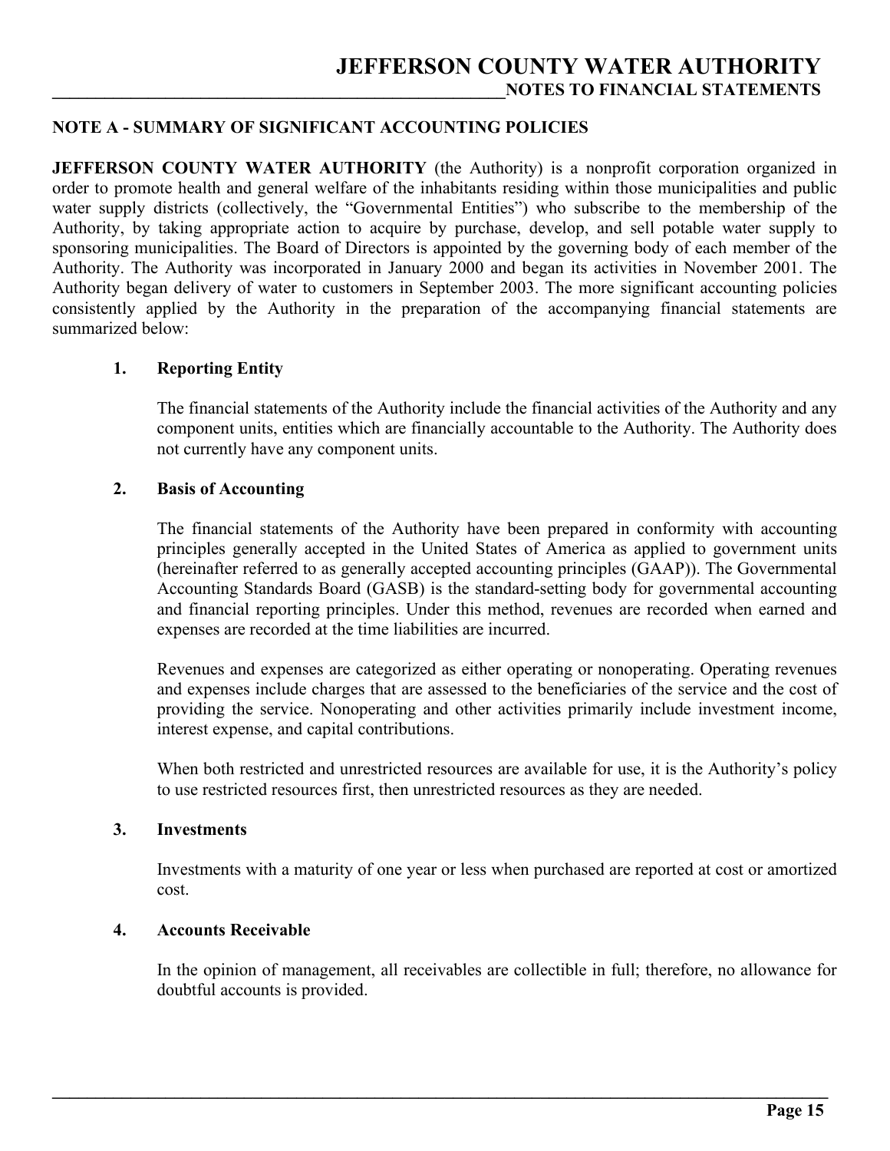## **NOTE A - SUMMARY OF SIGNIFICANT ACCOUNTING POLICIES**

**JEFFERSON COUNTY WATER AUTHORITY** (the Authority) is a nonprofit corporation organized in order to promote health and general welfare of the inhabitants residing within those municipalities and public water supply districts (collectively, the "Governmental Entities") who subscribe to the membership of the Authority, by taking appropriate action to acquire by purchase, develop, and sell potable water supply to sponsoring municipalities. The Board of Directors is appointed by the governing body of each member of the Authority. The Authority was incorporated in January 2000 and began its activities in November 2001. The Authority began delivery of water to customers in September 2003. The more significant accounting policies consistently applied by the Authority in the preparation of the accompanying financial statements are summarized below:

#### **1. Reporting Entity**

 The financial statements of the Authority include the financial activities of the Authority and any component units, entities which are financially accountable to the Authority. The Authority does not currently have any component units.

## **2. Basis of Accounting**

 The financial statements of the Authority have been prepared in conformity with accounting principles generally accepted in the United States of America as applied to government units (hereinafter referred to as generally accepted accounting principles (GAAP)). The Governmental Accounting Standards Board (GASB) is the standard-setting body for governmental accounting and financial reporting principles. Under this method, revenues are recorded when earned and expenses are recorded at the time liabilities are incurred.

 Revenues and expenses are categorized as either operating or nonoperating. Operating revenues and expenses include charges that are assessed to the beneficiaries of the service and the cost of providing the service. Nonoperating and other activities primarily include investment income, interest expense, and capital contributions.

When both restricted and unrestricted resources are available for use, it is the Authority's policy to use restricted resources first, then unrestricted resources as they are needed.

#### **3. Investments**

 Investments with a maturity of one year or less when purchased are reported at cost or amortized cost.

#### **4. Accounts Receivable**

 In the opinion of management, all receivables are collectible in full; therefore, no allowance for doubtful accounts is provided.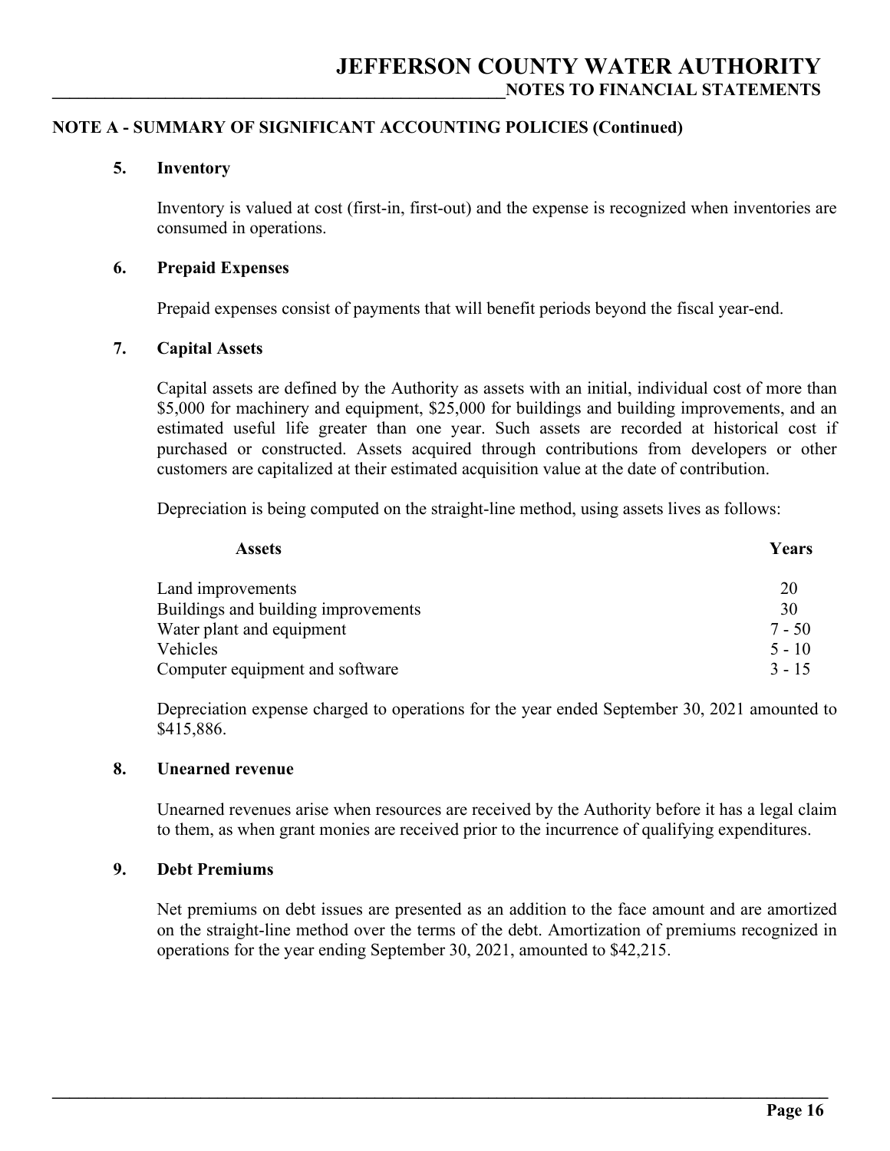## **NOTE A - SUMMARY OF SIGNIFICANT ACCOUNTING POLICIES (Continued)**

## **5. Inventory**

 Inventory is valued at cost (first-in, first-out) and the expense is recognized when inventories are consumed in operations.

#### **6. Prepaid Expenses**

Prepaid expenses consist of payments that will benefit periods beyond the fiscal year-end.

#### **7. Capital Assets**

 Capital assets are defined by the Authority as assets with an initial, individual cost of more than \$5,000 for machinery and equipment, \$25,000 for buildings and building improvements, and an estimated useful life greater than one year. Such assets are recorded at historical cost if purchased or constructed. Assets acquired through contributions from developers or other customers are capitalized at their estimated acquisition value at the date of contribution.

Depreciation is being computed on the straight-line method, using assets lives as follows:

| <b>Assets</b>                       | Years    |
|-------------------------------------|----------|
| Land improvements                   | 20       |
| Buildings and building improvements | 30       |
| Water plant and equipment           | $7 - 50$ |
| Vehicles                            | $5 - 10$ |
| Computer equipment and software     | $3 - 15$ |

 Depreciation expense charged to operations for the year ended September 30, 2021 amounted to \$415,886.

#### **8. Unearned revenue**

Unearned revenues arise when resources are received by the Authority before it has a legal claim to them, as when grant monies are received prior to the incurrence of qualifying expenditures.

#### **9. Debt Premiums**

 Net premiums on debt issues are presented as an addition to the face amount and are amortized on the straight-line method over the terms of the debt. Amortization of premiums recognized in operations for the year ending September 30, 2021, amounted to \$42,215.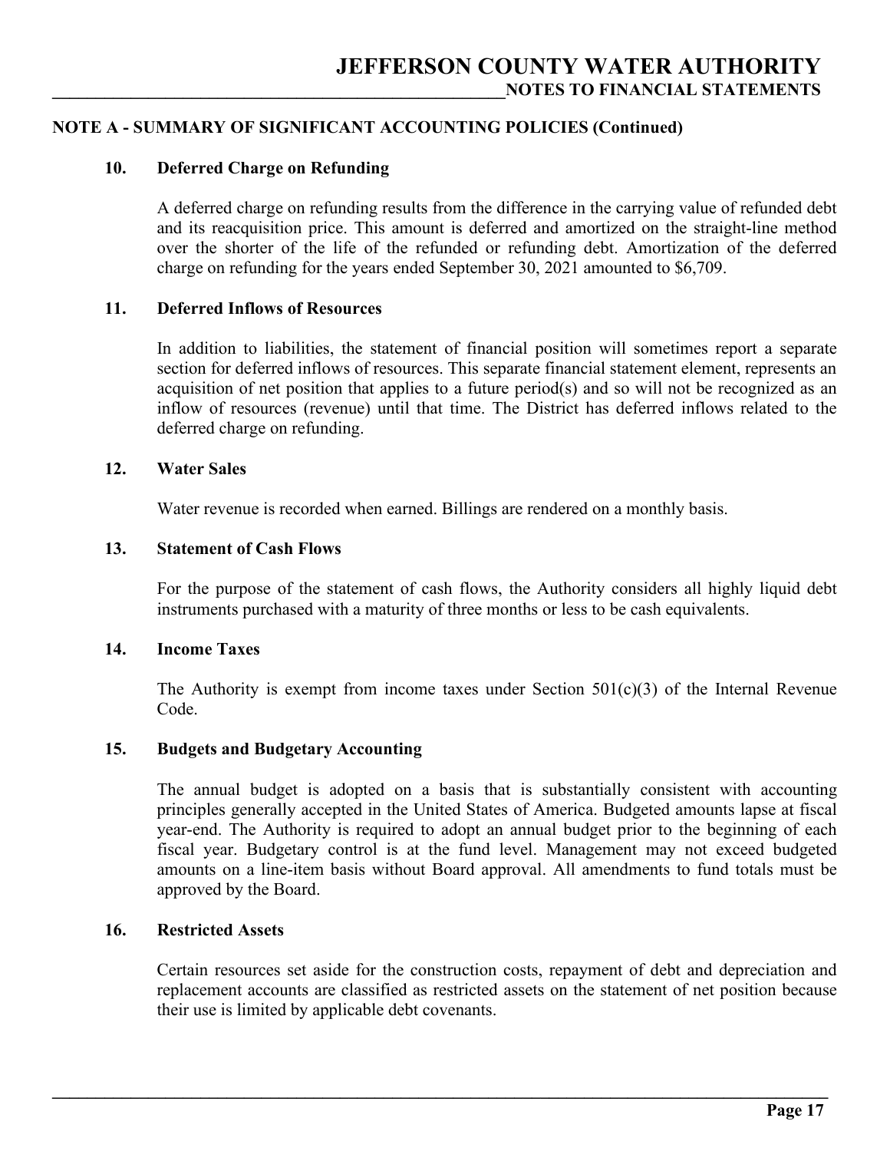## **NOTE A - SUMMARY OF SIGNIFICANT ACCOUNTING POLICIES (Continued)**

## **10. Deferred Charge on Refunding**

A deferred charge on refunding results from the difference in the carrying value of refunded debt and its reacquisition price. This amount is deferred and amortized on the straight-line method over the shorter of the life of the refunded or refunding debt. Amortization of the deferred charge on refunding for the years ended September 30, 2021 amounted to \$6,709.

#### **11. Deferred Inflows of Resources**

In addition to liabilities, the statement of financial position will sometimes report a separate section for deferred inflows of resources. This separate financial statement element, represents an acquisition of net position that applies to a future period(s) and so will not be recognized as an inflow of resources (revenue) until that time. The District has deferred inflows related to the deferred charge on refunding.

#### **12. Water Sales**

Water revenue is recorded when earned. Billings are rendered on a monthly basis.

#### **13. Statement of Cash Flows**

 For the purpose of the statement of cash flows, the Authority considers all highly liquid debt instruments purchased with a maturity of three months or less to be cash equivalents.

#### **14. Income Taxes**

The Authority is exempt from income taxes under Section  $501(c)(3)$  of the Internal Revenue Code.

#### **15. Budgets and Budgetary Accounting**

 The annual budget is adopted on a basis that is substantially consistent with accounting principles generally accepted in the United States of America. Budgeted amounts lapse at fiscal year-end. The Authority is required to adopt an annual budget prior to the beginning of each fiscal year. Budgetary control is at the fund level. Management may not exceed budgeted amounts on a line-item basis without Board approval. All amendments to fund totals must be approved by the Board.

#### **16. Restricted Assets**

 Certain resources set aside for the construction costs, repayment of debt and depreciation and replacement accounts are classified as restricted assets on the statement of net position because their use is limited by applicable debt covenants.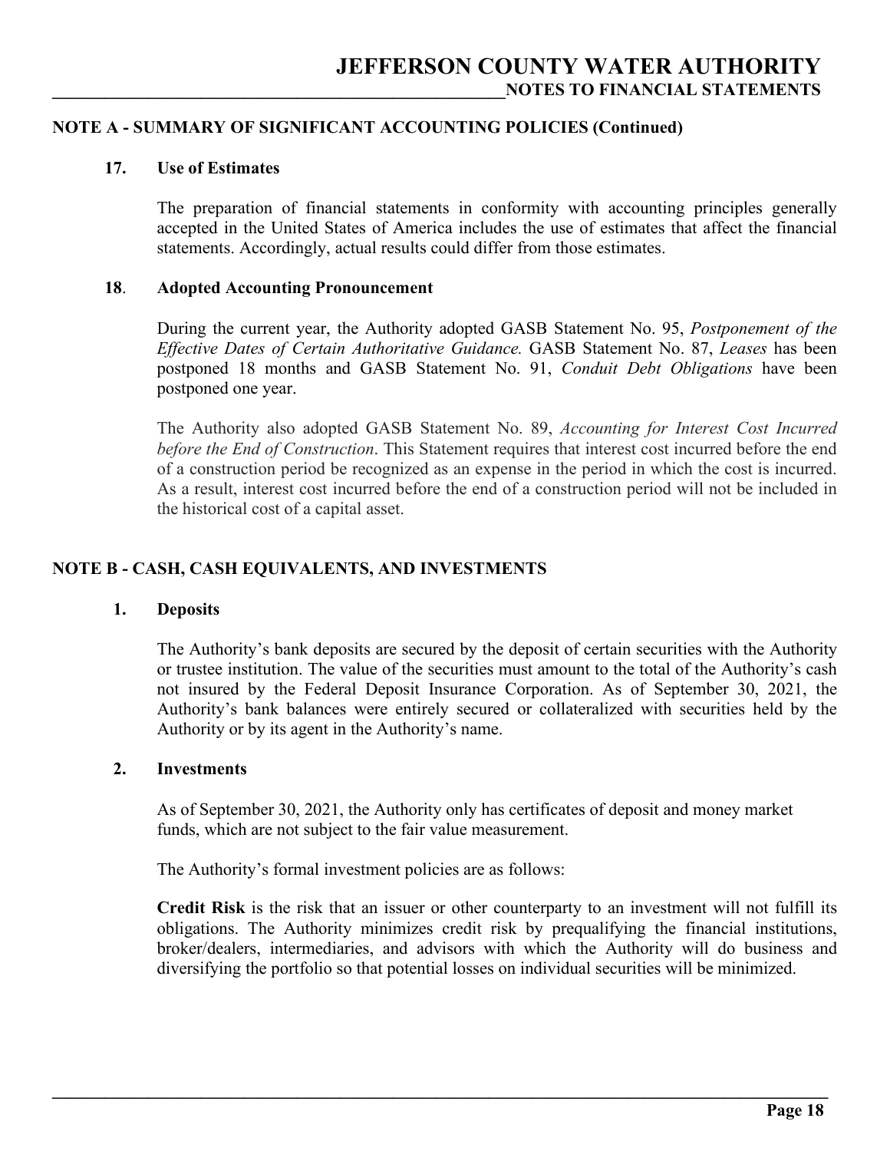## **NOTE A - SUMMARY OF SIGNIFICANT ACCOUNTING POLICIES (Continued)**

## **17. Use of Estimates**

 The preparation of financial statements in conformity with accounting principles generally accepted in the United States of America includes the use of estimates that affect the financial statements. Accordingly, actual results could differ from those estimates.

#### **18**. **Adopted Accounting Pronouncement**

During the current year, the Authority adopted GASB Statement No. 95, *Postponement of the Effective Dates of Certain Authoritative Guidance.* GASB Statement No. 87, *Leases* has been postponed 18 months and GASB Statement No. 91, *Conduit Debt Obligations* have been postponed one year.

The Authority also adopted GASB Statement No. 89, *Accounting for Interest Cost Incurred before the End of Construction*. This Statement requires that interest cost incurred before the end of a construction period be recognized as an expense in the period in which the cost is incurred. As a result, interest cost incurred before the end of a construction period will not be included in the historical cost of a capital asset.

## **NOTE B - CASH, CASH EQUIVALENTS, AND INVESTMENTS**

#### **1. Deposits**

 The Authority's bank deposits are secured by the deposit of certain securities with the Authority or trustee institution. The value of the securities must amount to the total of the Authority's cash not insured by the Federal Deposit Insurance Corporation. As of September 30, 2021, the Authority's bank balances were entirely secured or collateralized with securities held by the Authority or by its agent in the Authority's name.

#### **2. Investments**

 As of September 30, 2021, the Authority only has certificates of deposit and money market funds, which are not subject to the fair value measurement.

The Authority's formal investment policies are as follows:

 **Credit Risk** is the risk that an issuer or other counterparty to an investment will not fulfill its obligations. The Authority minimizes credit risk by prequalifying the financial institutions, broker/dealers, intermediaries, and advisors with which the Authority will do business and diversifying the portfolio so that potential losses on individual securities will be minimized.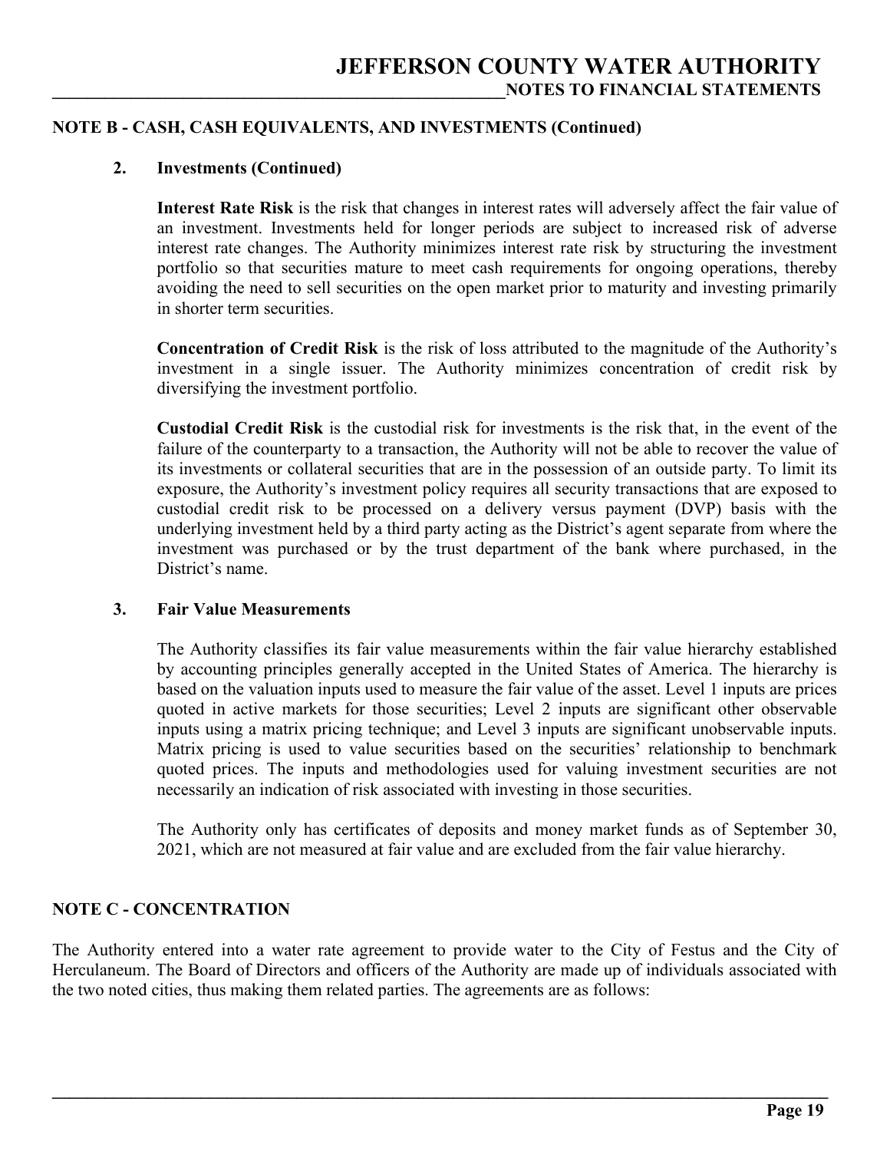## **NOTE B - CASH, CASH EQUIVALENTS, AND INVESTMENTS (Continued)**

## **2. Investments (Continued)**

 **Interest Rate Risk** is the risk that changes in interest rates will adversely affect the fair value of an investment. Investments held for longer periods are subject to increased risk of adverse interest rate changes. The Authority minimizes interest rate risk by structuring the investment portfolio so that securities mature to meet cash requirements for ongoing operations, thereby avoiding the need to sell securities on the open market prior to maturity and investing primarily in shorter term securities.

 **Concentration of Credit Risk** is the risk of loss attributed to the magnitude of the Authority's investment in a single issuer. The Authority minimizes concentration of credit risk by diversifying the investment portfolio.

**Custodial Credit Risk** is the custodial risk for investments is the risk that, in the event of the failure of the counterparty to a transaction, the Authority will not be able to recover the value of its investments or collateral securities that are in the possession of an outside party. To limit its exposure, the Authority's investment policy requires all security transactions that are exposed to custodial credit risk to be processed on a delivery versus payment (DVP) basis with the underlying investment held by a third party acting as the District's agent separate from where the investment was purchased or by the trust department of the bank where purchased, in the District's name.

#### **3. Fair Value Measurements**

 The Authority classifies its fair value measurements within the fair value hierarchy established by accounting principles generally accepted in the United States of America. The hierarchy is based on the valuation inputs used to measure the fair value of the asset. Level 1 inputs are prices quoted in active markets for those securities; Level 2 inputs are significant other observable inputs using a matrix pricing technique; and Level 3 inputs are significant unobservable inputs. Matrix pricing is used to value securities based on the securities' relationship to benchmark quoted prices. The inputs and methodologies used for valuing investment securities are not necessarily an indication of risk associated with investing in those securities.

The Authority only has certificates of deposits and money market funds as of September 30, 2021, which are not measured at fair value and are excluded from the fair value hierarchy.

#### **NOTE C - CONCENTRATION**

The Authority entered into a water rate agreement to provide water to the City of Festus and the City of Herculaneum. The Board of Directors and officers of the Authority are made up of individuals associated with the two noted cities, thus making them related parties. The agreements are as follows: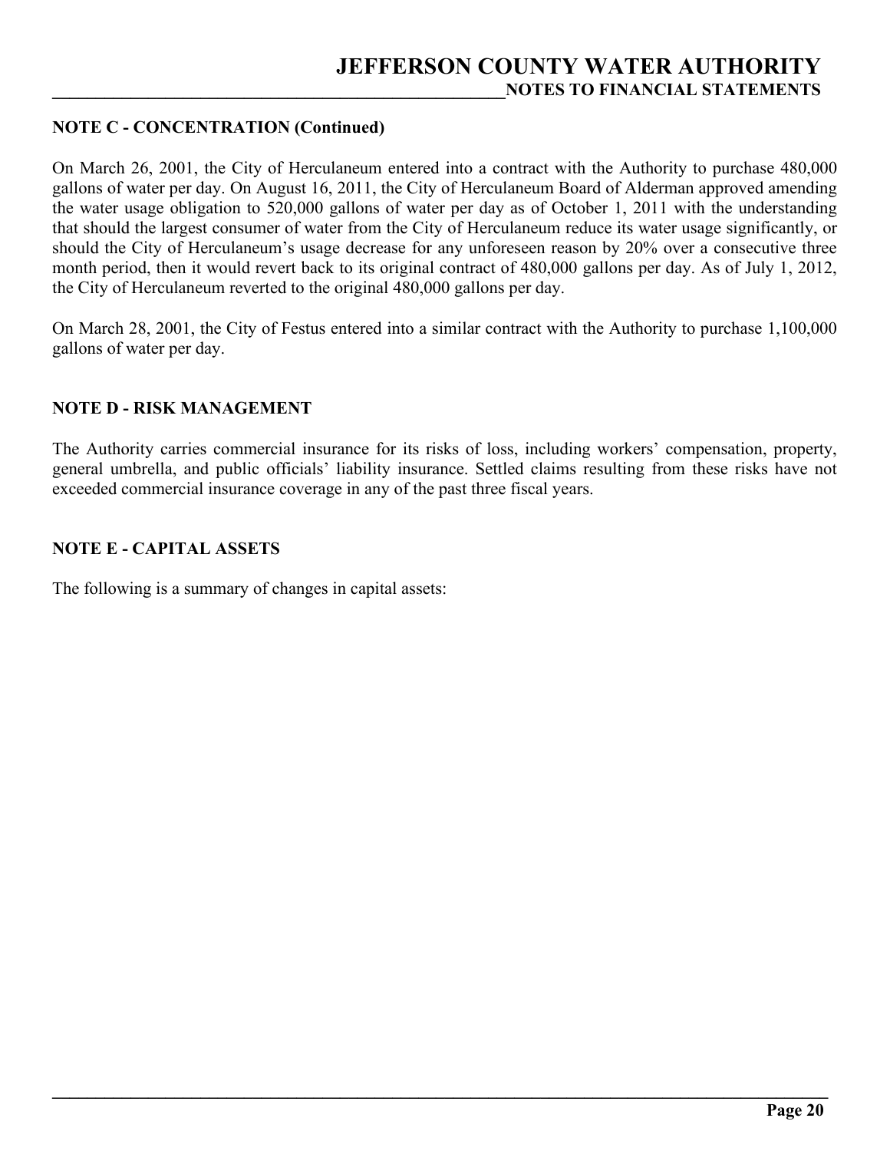## **NOTE C - CONCENTRATION (Continued)**

On March 26, 2001, the City of Herculaneum entered into a contract with the Authority to purchase 480,000 gallons of water per day. On August 16, 2011, the City of Herculaneum Board of Alderman approved amending the water usage obligation to 520,000 gallons of water per day as of October 1, 2011 with the understanding that should the largest consumer of water from the City of Herculaneum reduce its water usage significantly, or should the City of Herculaneum's usage decrease for any unforeseen reason by 20% over a consecutive three month period, then it would revert back to its original contract of 480,000 gallons per day. As of July 1, 2012, the City of Herculaneum reverted to the original 480,000 gallons per day.

On March 28, 2001, the City of Festus entered into a similar contract with the Authority to purchase 1,100,000 gallons of water per day.

## **NOTE D - RISK MANAGEMENT**

The Authority carries commercial insurance for its risks of loss, including workers' compensation, property, general umbrella, and public officials' liability insurance. Settled claims resulting from these risks have not exceeded commercial insurance coverage in any of the past three fiscal years.

**\_\_\_\_\_\_\_\_\_\_\_\_\_\_\_\_\_\_\_\_\_\_\_\_\_\_\_\_\_\_\_\_\_\_\_\_\_\_\_\_\_\_\_\_\_\_\_\_\_\_\_\_\_\_\_\_\_\_\_\_\_\_\_\_\_\_\_\_\_\_\_\_\_\_\_\_\_\_\_\_\_\_\_\_\_\_\_\_\_** 

## **NOTE E - CAPITAL ASSETS**

The following is a summary of changes in capital assets: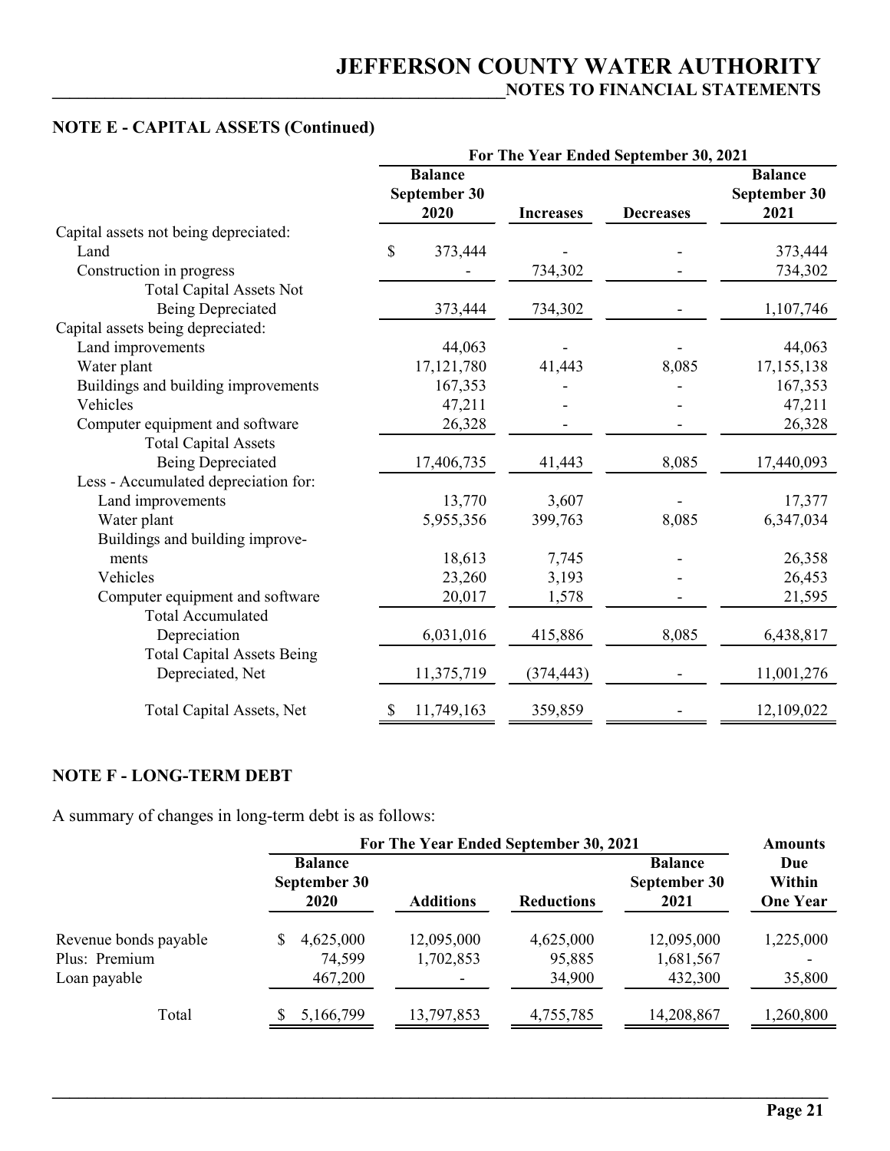# **JEFFERSON COUNTY WATER AUTHORITY \_\_\_\_\_\_\_\_\_\_\_\_\_\_\_\_\_\_\_\_\_\_\_\_\_\_\_\_\_\_\_\_\_\_\_\_\_\_\_\_\_\_\_\_\_\_\_\_\_\_\_\_NOTES TO FINANCIAL STATEMENTS**

# **NOTE E - CAPITAL ASSETS (Continued)**

|                                       | For The Year Ended September 30, 2021 |                                        |                  |                  |                                        |
|---------------------------------------|---------------------------------------|----------------------------------------|------------------|------------------|----------------------------------------|
|                                       |                                       | <b>Balance</b><br>September 30<br>2020 | <b>Increases</b> | <b>Decreases</b> | <b>Balance</b><br>September 30<br>2021 |
| Capital assets not being depreciated: |                                       |                                        |                  |                  |                                        |
| Land                                  | \$                                    | 373,444                                |                  |                  | 373,444                                |
| Construction in progress              |                                       |                                        | 734,302          |                  | 734,302                                |
| <b>Total Capital Assets Not</b>       |                                       |                                        |                  |                  |                                        |
| <b>Being Depreciated</b>              |                                       | 373,444                                | 734,302          |                  | 1,107,746                              |
| Capital assets being depreciated:     |                                       |                                        |                  |                  |                                        |
| Land improvements                     |                                       | 44,063                                 |                  |                  | 44,063                                 |
| Water plant                           |                                       | 17,121,780                             | 41,443           | 8,085            | 17,155,138                             |
| Buildings and building improvements   |                                       | 167,353                                |                  |                  | 167,353                                |
| Vehicles                              |                                       | 47,211                                 |                  |                  | 47,211                                 |
| Computer equipment and software       |                                       | 26,328                                 |                  |                  | 26,328                                 |
| <b>Total Capital Assets</b>           |                                       |                                        |                  |                  |                                        |
| <b>Being Depreciated</b>              |                                       | 17,406,735                             | 41,443           | 8,085            | 17,440,093                             |
| Less - Accumulated depreciation for:  |                                       |                                        |                  |                  |                                        |
| Land improvements                     |                                       | 13,770                                 | 3,607            |                  | 17,377                                 |
| Water plant                           |                                       | 5,955,356                              | 399,763          | 8,085            | 6,347,034                              |
| Buildings and building improve-       |                                       |                                        |                  |                  |                                        |
| ments                                 |                                       | 18,613                                 | 7,745            |                  | 26,358                                 |
| Vehicles                              |                                       | 23,260                                 | 3,193            |                  | 26,453                                 |
| Computer equipment and software       |                                       | 20,017                                 | 1,578            |                  | 21,595                                 |
| <b>Total Accumulated</b>              |                                       |                                        |                  |                  |                                        |
| Depreciation                          |                                       | 6,031,016                              | 415,886          | 8,085            | 6,438,817                              |
| <b>Total Capital Assets Being</b>     |                                       |                                        |                  |                  |                                        |
| Depreciated, Net                      |                                       | 11,375,719                             | (374, 443)       |                  | 11,001,276                             |
| <b>Total Capital Assets, Net</b>      | \$                                    | 11,749,163                             | 359,859          |                  | 12,109,022                             |

## **NOTE F - LONG-TERM DEBT**

A summary of changes in long-term debt is as follows:

|                                                        | For The Year Ended September 30, 2021         |                         |                               |                                        | <b>Amounts</b>                   |
|--------------------------------------------------------|-----------------------------------------------|-------------------------|-------------------------------|----------------------------------------|----------------------------------|
|                                                        | <b>Balance</b><br>September 30<br><b>2020</b> | <b>Additions</b>        | <b>Reductions</b>             | <b>Balance</b><br>September 30<br>2021 | Due<br>Within<br><b>One Year</b> |
| Revenue bonds payable<br>Plus: Premium<br>Loan payable | 4,625,000<br>74,599<br>467,200                | 12,095,000<br>1,702,853 | 4,625,000<br>95,885<br>34,900 | 12,095,000<br>1,681,567<br>432,300     | 1,225,000<br>35,800              |
| Total                                                  | 5,166,799                                     | 13,797,853              | 4,755,785                     | 14,208,867                             | 1,260,800                        |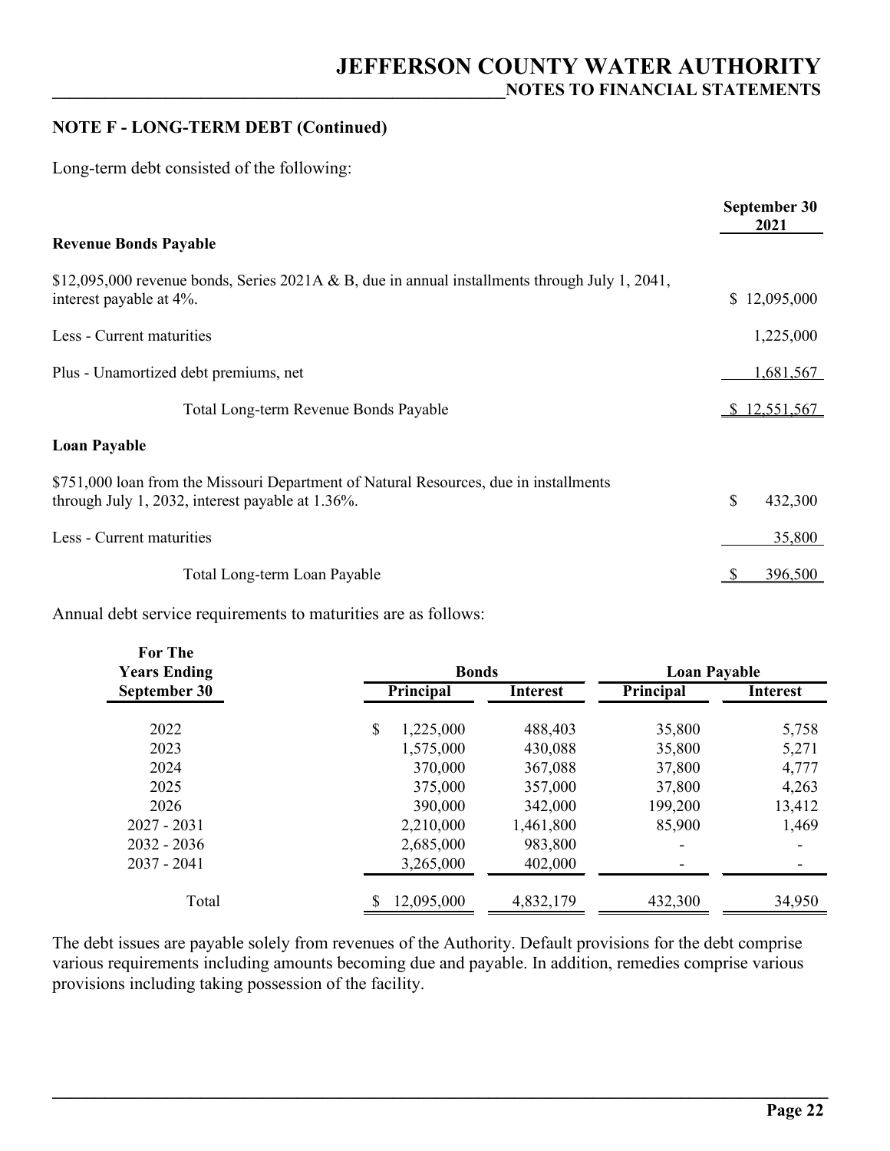## **NOTE F - LONG-TERM DEBT (Continued)**

Long-term debt consisted of the following:

|                                                                                                                                               |    | September 30<br>2021 |
|-----------------------------------------------------------------------------------------------------------------------------------------------|----|----------------------|
| <b>Revenue Bonds Payable</b>                                                                                                                  |    |                      |
| \$12,095,000 revenue bonds, Series 2021A & B, due in annual installments through July 1, 2041,<br>interest payable at 4%.                     |    | \$12,095,000         |
| Less - Current maturities                                                                                                                     |    | 1,225,000            |
| Plus - Unamortized debt premiums, net                                                                                                         |    | 1,681,567            |
| Total Long-term Revenue Bonds Payable                                                                                                         | -8 | 12,551,567           |
| <b>Loan Payable</b>                                                                                                                           |    |                      |
| \$751,000 loan from the Missouri Department of Natural Resources, due in installments<br>through July 1, 2032, interest payable at $1.36\%$ . | \$ | 432,300              |
| Less - Current maturities                                                                                                                     |    | 35,800               |
| Total Long-term Loan Payable                                                                                                                  |    | 396,500              |

Annual debt service requirements to maturities are as follows:

| <b>For The</b><br><b>Years Ending</b> | <b>Bonds</b>              | <b>Loan Payable</b> |           |                 |
|---------------------------------------|---------------------------|---------------------|-----------|-----------------|
| September 30                          | Principal                 | <b>Interest</b>     | Principal | <b>Interest</b> |
| 2022                                  | $\mathbb{S}$<br>1,225,000 | 488,403             | 35,800    | 5,758           |
| 2023                                  | 1,575,000                 | 430,088             | 35,800    | 5,271           |
| 2024                                  | 370,000                   | 367,088             | 37,800    | 4,777           |
| 2025                                  | 375,000                   | 357,000             | 37,800    | 4,263           |
| 2026                                  | 390,000                   | 342,000             | 199,200   | 13,412          |
| $2027 - 2031$                         | 2,210,000                 | 1,461,800           | 85,900    | 1,469           |
| $2032 - 2036$                         | 2,685,000                 | 983,800             | -         |                 |
| $2037 - 2041$                         | 3,265,000                 | 402,000             |           |                 |
| Total                                 | 12,095,000<br>S           | 4,832,179           | 432,300   | 34,950          |

The debt issues are payable solely from revenues of the Authority. Default provisions for the debt comprise various requirements including amounts becoming due and payable. In addition, remedies comprise various provisions including taking possession of the facility.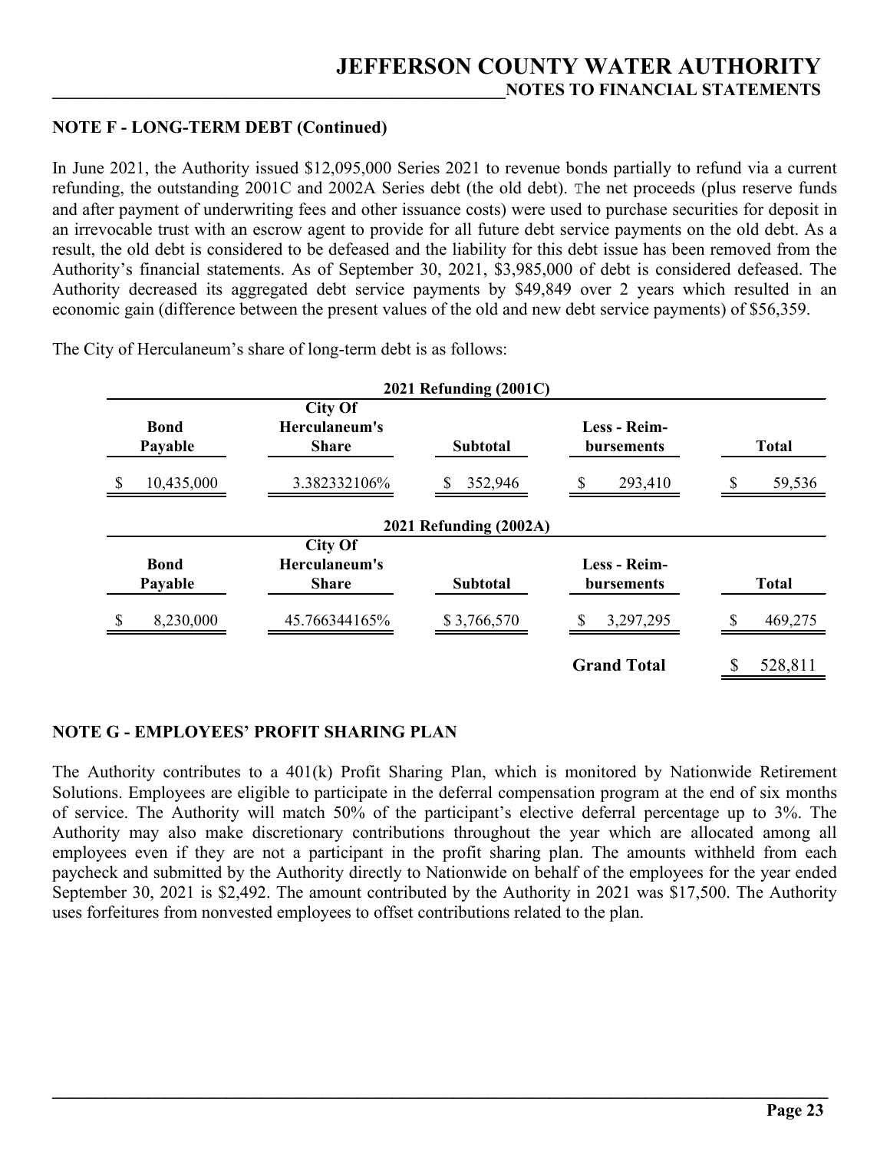## **NOTE F - LONG-TERM DEBT (Continued)**

In June 2021, the Authority issued \$12,095,000 Series 2021 to revenue bonds partially to refund via a current refunding, the outstanding 2001C and 2002A Series debt (the old debt). The net proceeds (plus reserve funds and after payment of underwriting fees and other issuance costs) were used to purchase securities for deposit in an irrevocable trust with an escrow agent to provide for all future debt service payments on the old debt. As a result, the old debt is considered to be defeased and the liability for this debt issue has been removed from the Authority's financial statements. As of September 30, 2021, \$3,985,000 of debt is considered defeased. The Authority decreased its aggregated debt service payments by \$49,849 over 2 years which resulted in an economic gain (difference between the present values of the old and new debt service payments) of \$56,359.

|                        |                                                 | $2021$ Refunding (2001C) |                                          |              |  |  |
|------------------------|-------------------------------------------------|--------------------------|------------------------------------------|--------------|--|--|
| <b>Bond</b><br>Payable | <b>City Of</b><br>Herculaneum's<br><b>Share</b> | <b>Subtotal</b>          | <b>Less - Reim-</b><br><b>bursements</b> | <b>Total</b> |  |  |
| 10,435,000             | 3.382332106%                                    | 352,946                  | 293,410<br>S                             | 59,536       |  |  |
| 2021 Refunding (2002A) |                                                 |                          |                                          |              |  |  |
| <b>Bond</b><br>Payable | <b>City Of</b><br>Herculaneum's<br><b>Share</b> | <b>Subtotal</b>          | Less - Reim-<br><b>bursements</b>        | <b>Total</b> |  |  |
| 8,230,000              | 45.766344165%                                   | \$3,766,570              | 3,297,295                                | 469,275      |  |  |
|                        |                                                 |                          | <b>Grand Total</b>                       | 528,811      |  |  |

The City of Herculaneum's share of long-term debt is as follows:

## **NOTE G - EMPLOYEES' PROFIT SHARING PLAN**

The Authority contributes to a 401(k) Profit Sharing Plan, which is monitored by Nationwide Retirement Solutions. Employees are eligible to participate in the deferral compensation program at the end of six months of service. The Authority will match 50% of the participant's elective deferral percentage up to 3%. The Authority may also make discretionary contributions throughout the year which are allocated among all employees even if they are not a participant in the profit sharing plan. The amounts withheld from each paycheck and submitted by the Authority directly to Nationwide on behalf of the employees for the year ended September 30, 2021 is \$2,492. The amount contributed by the Authority in 2021 was \$17,500. The Authority uses forfeitures from nonvested employees to offset contributions related to the plan.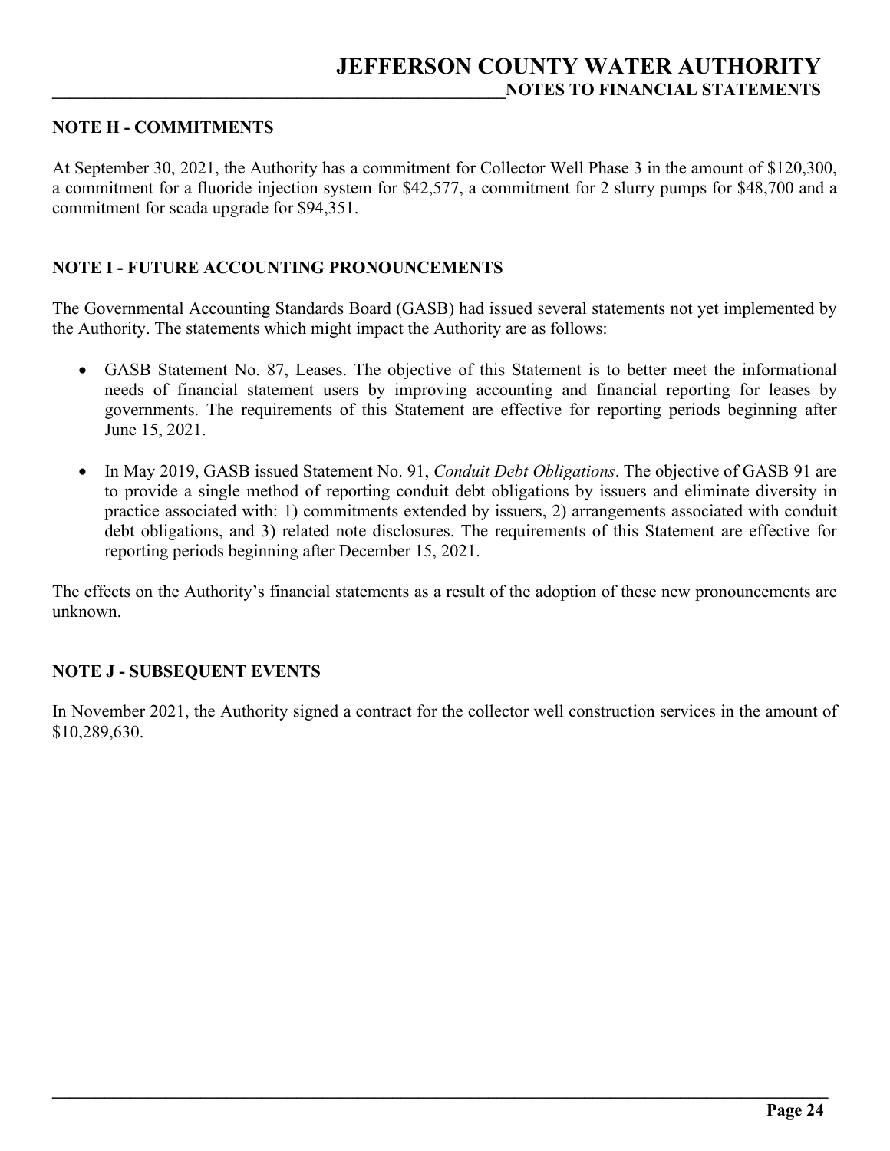## **NOTE H - COMMITMENTS**

At September 30, 2021, the Authority has a commitment for Collector Well Phase 3 in the amount of \$120,300, a commitment for a fluoride injection system for \$42,577, a commitment for 2 slurry pumps for \$48,700 and a commitment for scada upgrade for \$94,351.

## **NOTE I - FUTURE ACCOUNTING PRONOUNCEMENTS**

The Governmental Accounting Standards Board (GASB) had issued several statements not yet implemented by the Authority. The statements which might impact the Authority are as follows:

- GASB Statement No. 87, Leases. The objective of this Statement is to better meet the informational needs of financial statement users by improving accounting and financial reporting for leases by governments. The requirements of this Statement are effective for reporting periods beginning after June 15, 2021.
- In May 2019, GASB issued Statement No. 91, *Conduit Debt Obligations*. The objective of GASB 91 are to provide a single method of reporting conduit debt obligations by issuers and eliminate diversity in practice associated with: 1) commitments extended by issuers, 2) arrangements associated with conduit debt obligations, and 3) related note disclosures. The requirements of this Statement are effective for reporting periods beginning after December 15, 2021.

The effects on the Authority's financial statements as a result of the adoption of these new pronouncements are unknown.

## **NOTE J - SUBSEQUENT EVENTS**

In November 2021, the Authority signed a contract for the collector well construction services in the amount of \$10,289,630.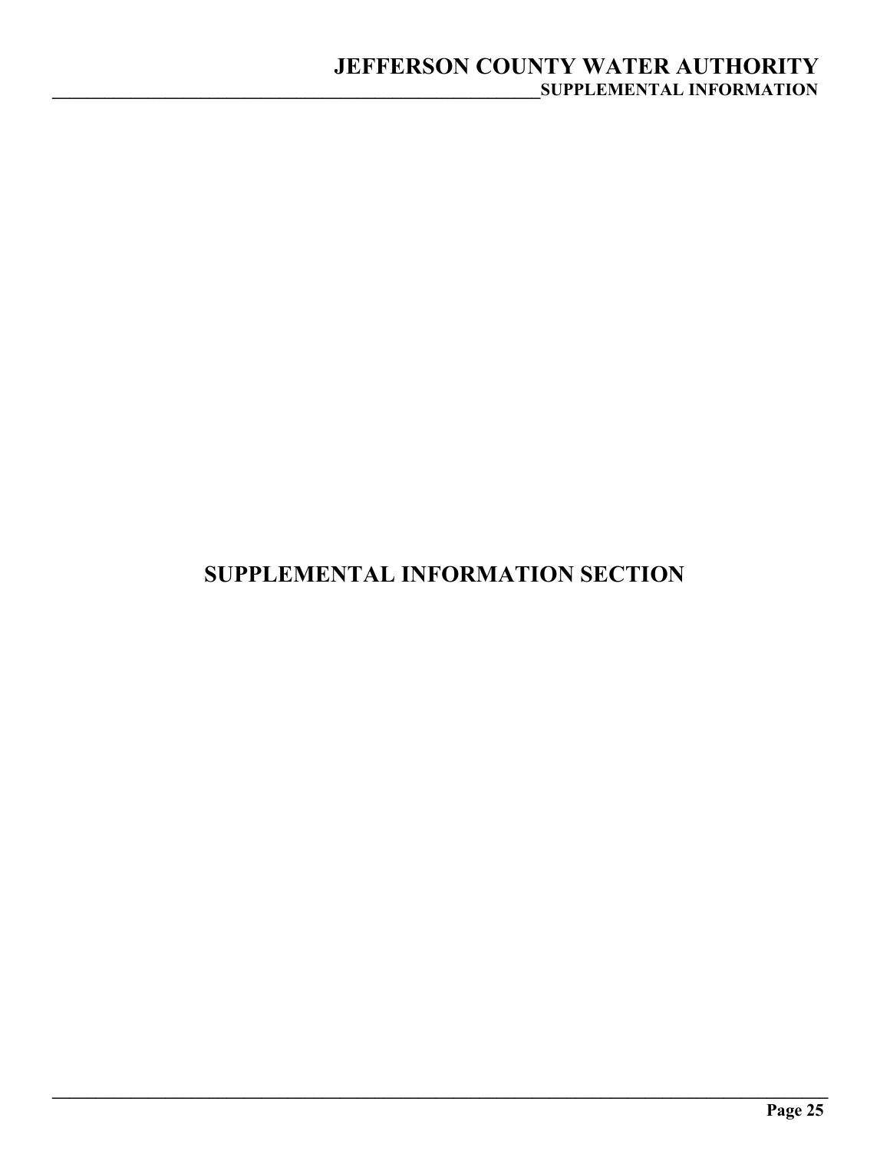# **SUPPLEMENTAL INFORMATION SECTION**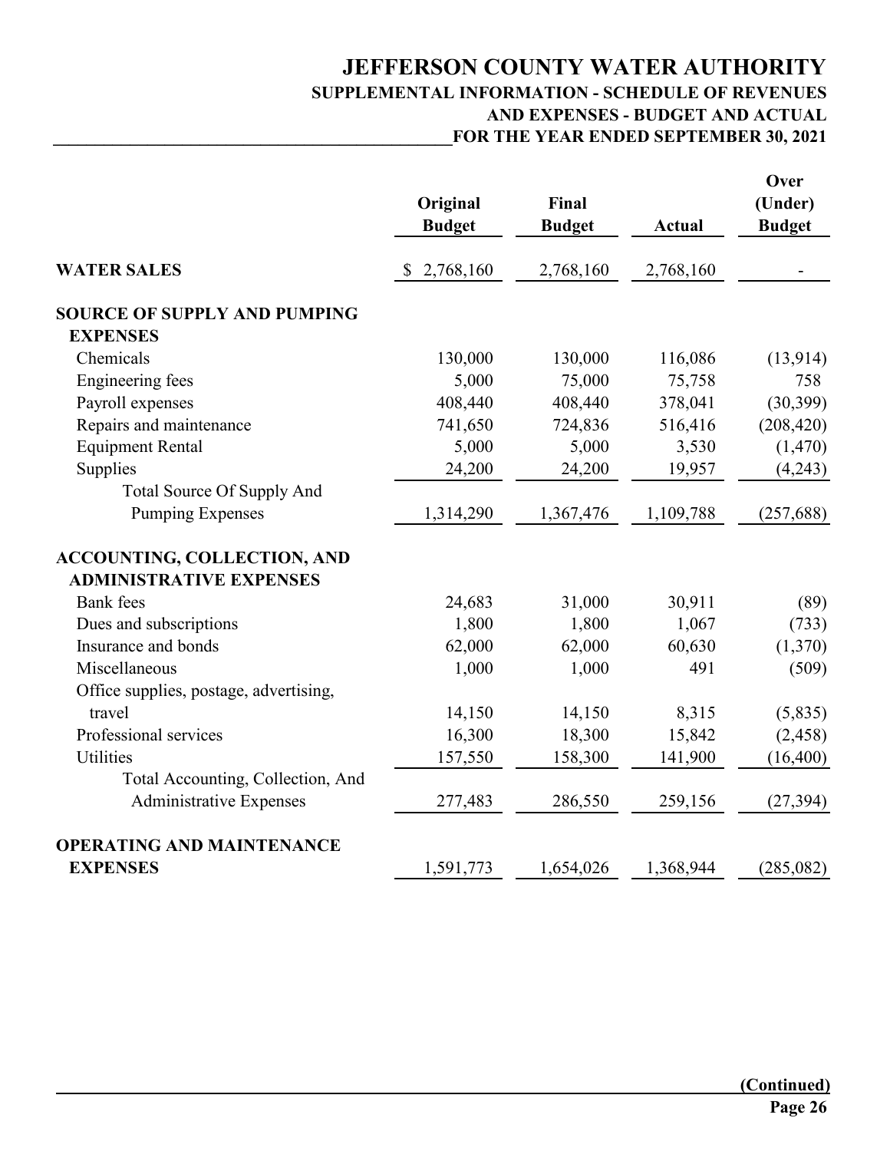# **JEFFERSON COUNTY WATER AUTHORITY SUPPLEMENTAL INFORMATION - SCHEDULE OF REVENUES AND EXPENSES - BUDGET AND ACTUAL**

FOR THE YEAR ENDED SEPTEMBER 30, 2021

|                                        | Original<br><b>Budget</b> | Final<br><b>Budget</b> | <b>Actual</b> | Over<br>(Under)<br><b>Budget</b> |
|----------------------------------------|---------------------------|------------------------|---------------|----------------------------------|
| <b>WATER SALES</b>                     | 2,768,160<br>\$           | 2,768,160              | 2,768,160     |                                  |
| <b>SOURCE OF SUPPLY AND PUMPING</b>    |                           |                        |               |                                  |
| <b>EXPENSES</b>                        |                           |                        |               |                                  |
| Chemicals                              | 130,000                   | 130,000                | 116,086       | (13, 914)                        |
| <b>Engineering fees</b>                | 5,000                     | 75,000                 | 75,758        | 758                              |
| Payroll expenses                       | 408,440                   | 408,440                | 378,041       | (30, 399)                        |
| Repairs and maintenance                | 741,650                   | 724,836                | 516,416       | (208, 420)                       |
| <b>Equipment Rental</b>                | 5,000                     | 5,000                  | 3,530         | (1,470)                          |
| Supplies                               | 24,200                    | 24,200                 | 19,957        | (4,243)                          |
| Total Source Of Supply And             |                           |                        |               |                                  |
| <b>Pumping Expenses</b>                | 1,314,290                 | 1,367,476              | 1,109,788     | (257, 688)                       |
| <b>ACCOUNTING, COLLECTION, AND</b>     |                           |                        |               |                                  |
| <b>ADMINISTRATIVE EXPENSES</b>         |                           |                        |               |                                  |
| <b>Bank</b> fees                       | 24,683                    | 31,000                 | 30,911        | (89)                             |
| Dues and subscriptions                 | 1,800                     | 1,800                  | 1,067         | (733)                            |
| Insurance and bonds                    | 62,000                    | 62,000                 | 60,630        | (1,370)                          |
| Miscellaneous                          | 1,000                     | 1,000                  | 491           | (509)                            |
| Office supplies, postage, advertising, |                           |                        |               |                                  |
| travel                                 | 14,150                    | 14,150                 | 8,315         | (5,835)                          |
| Professional services                  | 16,300                    | 18,300                 | 15,842        | (2, 458)                         |
| Utilities                              | 157,550                   | 158,300                | 141,900       | (16, 400)                        |
| Total Accounting, Collection, And      |                           |                        |               |                                  |
| <b>Administrative Expenses</b>         | 277,483                   | 286,550                | 259,156       | (27, 394)                        |
| <b>OPERATING AND MAINTENANCE</b>       |                           |                        |               |                                  |
| <b>EXPENSES</b>                        | 1,591,773                 | 1,654,026              | 1,368,944     | (285,082)                        |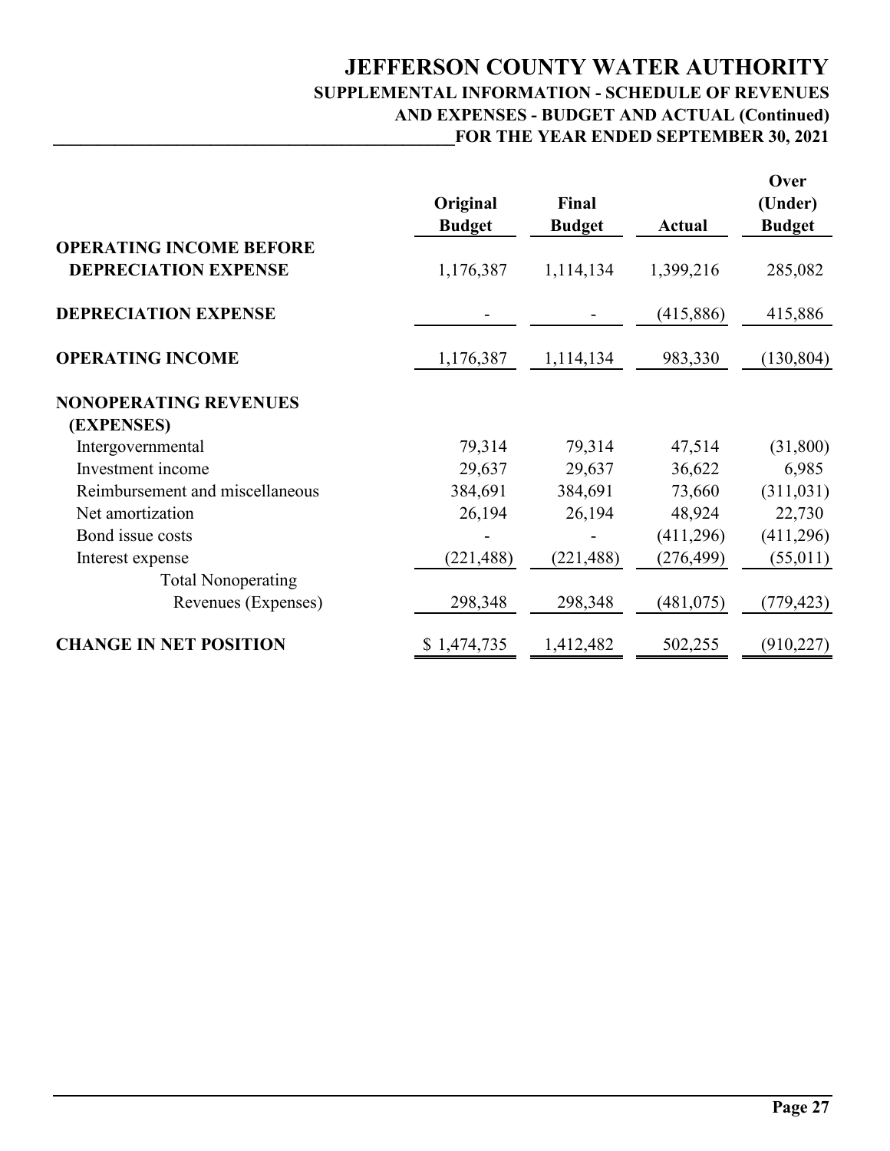# **JEFFERSON COUNTY WATER AUTHORITY SUPPLEMENTAL INFORMATION - SCHEDULE OF REVENUES AND EXPENSES - BUDGET AND ACTUAL (Continued)** FOR THE YEAR ENDED SEPTEMBER 30, 2021

|                                 | Original<br><b>Budget</b> | Final<br><b>Budget</b> | <b>Actual</b> | Over<br>(Under)<br><b>Budget</b> |
|---------------------------------|---------------------------|------------------------|---------------|----------------------------------|
| <b>OPERATING INCOME BEFORE</b>  |                           |                        |               |                                  |
| <b>DEPRECIATION EXPENSE</b>     | 1,176,387                 | 1,114,134              | 1,399,216     | 285,082                          |
| <b>DEPRECIATION EXPENSE</b>     |                           |                        | (415, 886)    | 415,886                          |
| <b>OPERATING INCOME</b>         | 1,176,387                 | 1,114,134              | 983,330       | (130, 804)                       |
| <b>NONOPERATING REVENUES</b>    |                           |                        |               |                                  |
| (EXPENSES)                      |                           |                        |               |                                  |
| Intergovernmental               | 79,314                    | 79,314                 | 47,514        | (31,800)                         |
| Investment income               | 29,637                    | 29,637                 | 36,622        | 6,985                            |
| Reimbursement and miscellaneous | 384,691                   | 384,691                | 73,660        | (311, 031)                       |
| Net amortization                | 26,194                    | 26,194                 | 48,924        | 22,730                           |
| Bond issue costs                |                           |                        | (411,296)     | (411,296)                        |
| Interest expense                | (221, 488)                | (221, 488)             | (276, 499)    | (55, 011)                        |
| <b>Total Nonoperating</b>       |                           |                        |               |                                  |
| Revenues (Expenses)             | 298,348                   | 298,348                | (481, 075)    | (779, 423)                       |
| <b>CHANGE IN NET POSITION</b>   | \$1,474,735               | 1,412,482              | 502,255       | (910, 227)                       |